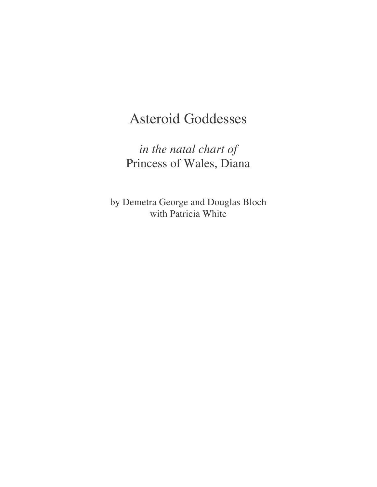# Asteroid Goddesses

*in the natal chart of* Princess of Wales, Diana

by Demetra George and Douglas Bloch with Patricia White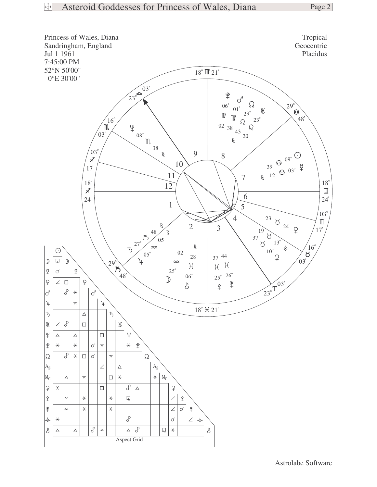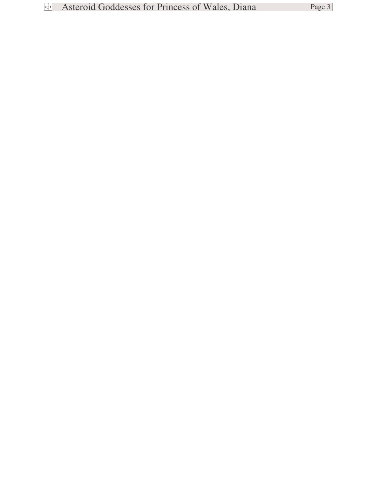| <b>Asteroid Goddesses for Princess of Wales, Diana</b> | Page 3 |
|--------------------------------------------------------|--------|
|                                                        |        |
|                                                        |        |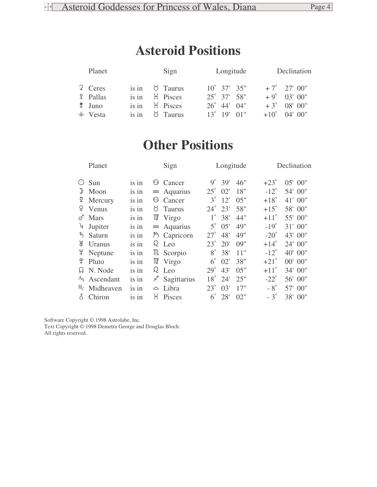# **Asteroid Positions**

| $+7^{\circ}$ 27' 00"<br>$10^{\circ}$ 37' 35"<br>is in $\sigma$ Taurus<br>2 Ceres<br>25° 37' 58"<br>$+9^{\circ}$ 03' 00"<br>$\hat{P}$ Pallas<br>is in $H$ Pisces<br>$+3^{\circ}$ 08' 00"<br>$26^{\circ}$ 44' 04"<br>$*$ Juno<br>is in $H$ Pisces<br>is in $\sigma$ Taurus | Planet       | Sign | Longitude            | Declination                   |
|--------------------------------------------------------------------------------------------------------------------------------------------------------------------------------------------------------------------------------------------------------------------------|--------------|------|----------------------|-------------------------------|
|                                                                                                                                                                                                                                                                          | $\div$ Vesta |      | $13^{\circ}$ 19' 01" | $04'$ $00''$<br>$+10^{\circ}$ |

# **Other Positions**

|               | Planet                   |       | Sign                      | Longitude                  | Declination              |
|---------------|--------------------------|-------|---------------------------|----------------------------|--------------------------|
| $(\cdot)$     | Sun                      | is in | <b>6</b> Cancer           | $Q^{\circ}$<br>46"<br>39'  | $+23^\circ$<br>05' 00"   |
| $\mathcal{D}$ | Moon                     | is in | $\approx$ Aquarius        | $25^{\circ}$<br>18"<br>02' | $-12^{\circ}$<br>54' 00" |
| ¥.            | Mercury                  | is in | <sup>6</sup> Cancer       | $3^\circ$<br>05"<br>12'    | $+18^\circ$<br>41' 00"   |
| ¥.            | Venus                    | is in | $\delta$ Taurus           | $24^\circ$<br>58"<br>23'   | $+15^\circ$<br>58' 00"   |
| ♂             | <b>Mars</b>              | is in | $\mathbb{M}$ Virgo        | 44"<br>38'                 | $+11^{\circ}$<br>55' 00" |
| 4             | Jupiter                  | is in | ** Aquarius               | $5^{\circ}$<br>49"<br>0.5' | $-19^\circ$<br>$31'$ 00" |
| ゎ             | Saturn                   | is in | $\beta$ Capricorn         | $27^\circ$<br>49"<br>48'   | $-20^\circ$<br>43' 00"   |
| Ж             | <b>Uranus</b>            | is in | $\Omega$ Leo              | $23^\circ$<br>09"<br>20'   | $+14^\circ$<br>24' 00"   |
| Ψ             | Neptune                  | is in | m Scorpio                 | $8^\circ$<br>11"<br>38'    | $-12^{\circ}$<br>40' 00" |
| L.            | Pluto                    | is in | $\mathbb{U}$<br>Virgo     | $6^{\circ}$<br>38"<br>02'  | $+21^\circ$<br>00' 00"   |
| ℅             | N. Node                  | is in | $\Omega$ Leo              | $29^\circ$<br>0.5"<br>43'  | $+11^{\circ}$<br>34' 00" |
|               | A <sub>s</sub> Ascendant | is in | $\mathcal{I}$ Sagittarius | $18^{\circ}$<br>25"<br>24' | $-22^\circ$<br>56' 00"   |
|               | $M_C$ Midheaven          | is in | $\triangle$ Libra         | $23^\circ$<br>17"<br>03'   | $-8^\circ$<br>57' 00"    |
| δ             | Chiron                   | is in | $H$ Pisces                | $6^{\circ}$<br>02"<br>28'  | $-3^\circ$<br>38' 00"    |

Software Copyright © 1998 Astrolabe, Inc. Text Copyright © 1998 Demetra George and Douglas Bloch. All rights reserved.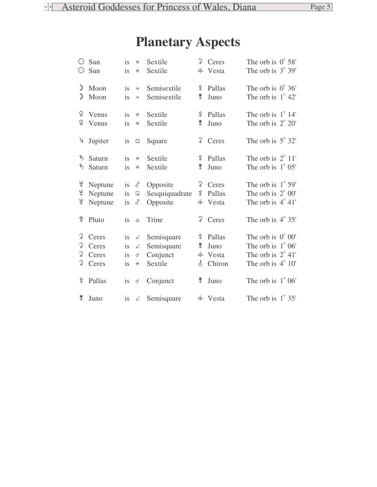# **Planetary Aspects**

| ⊙<br>⊙             | Sun<br>Sun                       | is<br><i>is</i>                           | $\ast$<br>$\star$                             | Sextile<br>Sextile                              |              | 2 Ceres<br>$\div$ Vesta                    | The orb is $0^{\circ}$ 58'<br>The orb is $3^\circ 39'$                                                             |
|--------------------|----------------------------------|-------------------------------------------|-----------------------------------------------|-------------------------------------------------|--------------|--------------------------------------------|--------------------------------------------------------------------------------------------------------------------|
| $\mathcal{D}$<br>♪ | Moon<br>Moon                     | is<br>is                                  | $\underline{\mathsf{v}}$<br>$\overline{\tau}$ | Semisextile<br>Semisextile                      | ⇞<br>¥       | Pallas<br>Juno                             | The orb is $0^{\circ}$ 36'<br>The orb is $1^{\circ}$ 42'                                                           |
| ¥<br>¥             | Venus<br>Venus                   | is<br>is                                  | $\ast$<br>$\star$                             | Sextile<br>Sextile                              | ⇞<br>¥       | Pallas<br>Juno                             | The orb is $1^\circ 14'$<br>The orb is $2^{\circ} 20'$                                                             |
| 4                  | Jupiter                          | is                                        | $\Box$                                        | Square                                          | 7            | Ceres                                      | The orb is $5^\circ 32'$                                                                                           |
| ゎ<br>ゎ             | Saturn<br>Saturn                 | <i>is</i><br>is                           | $\ast$<br>$\star$                             | Sextile<br>Sextile                              | ⇞<br>¥       | Pallas<br>Juno                             | The orb is $2^{\circ}$ 11'<br>The orb is $1^{\circ}$ 05'                                                           |
| Ψ<br>Ψ<br>Ψ        | Neptune<br>Neptune<br>Neptune    | is<br>is                                  | is $\delta$<br>Q<br>ୃ                         | Opposite<br>Sesquiquadrate<br>Opposite          | ⇞            | 2 Ceres<br>Pallas<br><b>Vesta</b>          | The orb is $1^\circ$ 59'<br>The orb is $2^{\circ}$ 00'<br>The orb is $4^\circ 41'$                                 |
| ิ¥                 | Pluto                            | <i>is</i>                                 | $\triangle$                                   | Trine                                           | 7            | Ceres                                      | The orb is $4^\circ 35'$                                                                                           |
| ₽<br>₽<br>₽<br>7   | Ceres<br>Ceres<br>Ceres<br>Ceres | is<br><i>is</i><br><i>is</i><br><i>is</i> | $\angle$<br>$\angle$<br>♂<br>$\star$          | Semisquare<br>Semisquare<br>Conjunct<br>Sextile | ⇞<br>¥<br>ර් | Pallas<br>Juno<br><b>↓</b> Vesta<br>Chiron | The orb is $0^{\circ} 00'$<br>The orb is $1^{\circ}$ 06'<br>The orb is $2^{\circ}$ 41'<br>The orb is $4^\circ 10'$ |
| ⇞                  | Pallas                           | is                                        | ♂                                             | Conjunct                                        | ¥            | Juno                                       | The orb is $1^{\circ}$ 06'                                                                                         |
| 类                  | Juno                             |                                           | is $\angle$                                   | Semisquare                                      |              | * Vesta                                    | The orb is $1^\circ 35'$                                                                                           |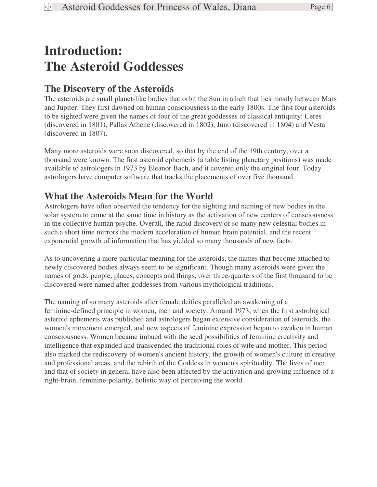# **Introduction: The Asteroid Goddesses**

## **The Discovery of the Asteroids**

The asteroids are small planet-like bodies that orbit the Sun in a belt that lies mostly between Mars and Jupiter. They first dawned on human consciousness in the early 1800s. The first four asteroids to be sighted were given the names of four of the great goddesses of classical antiquity: Ceres (discovered in 1801), Pallas Athene (discovered in 1802), Juno (discovered in 1804) and Vesta (discovered in 1807).

Many more asteroids were soon discovered, so that by the end of the 19th century, over a thousand were known. The first asteroid ephemeris (a table listing planetary positions) was made available to astrologers in 1973 by Eleanor Bach, and it covered only the original four. Today astrologers have computer software that tracks the placements of over five thousand.

# **What the Asteroids Mean for the World**

Astrologers have often observed the tendency for the sighting and naming of new bodies in the solar system to come at the same time in history as the activation of new centers of consciousness in the collective human psyche. Overall, the rapid discovery of so many new celestial bodies in such a short time mirrors the modern acceleration of human brain potential, and the recent exponential growth of information that has yielded so many thousands of new facts.

As to uncovering a more particular meaning for the asteroids, the names that become attached to newly discovered bodies always seem to be significant. Though many asteroids were given the names of gods, people, places, concepts and things, over three-quarters of the first thousand to be discovered were named after goddesses from various mythological traditions.

The naming of so many asteroids after female deities paralleled an awakening of a feminine-defined principle in women, men and society. Around 1973, when the first astrological asteroid ephemeris was published and astrologers began extensive consideration of asteroids, the women's movement emerged, and new aspects of feminine expression began to awaken in human consciousness. Women became imbued with the seed possibilities of feminine creativity and intelligence that expanded and transcended the traditional roles of wife and mother. This period also marked the rediscovery of women's ancient history, the growth of women's culture in creative and professional areas, and the rebirth of the Goddess in women's spirituality. The lives of men and that of society in general have also been affected by the activation and growing influence of a right-brain, feminine-polarity, holistic way of perceiving the world.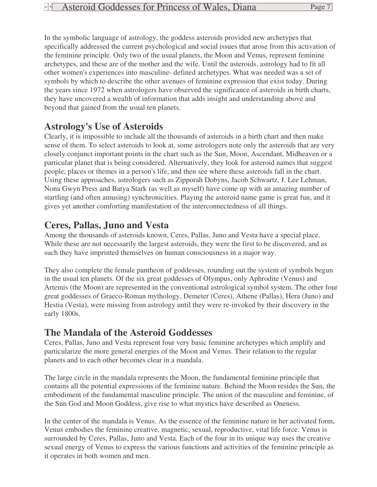In the symbolic language of astrology, the goddess asteroids provided new archetypes that specifically addressed the current psychological and social issues that arose from this activation of the feminine principle. Only two of the usual planets, the Moon and Venus, represent feminine archetypes, and these are of the mother and the wife. Until the asteroids, astrology had to fit all other women's experiences into masculine- defined archetypes. What was needed was a set of symbols by which to describe the other avenues of feminine expression that exist today. During the years since 1972 when astrologers have observed the significance of asteroids in birth charts, they have uncovered a wealth of information that adds insight and understanding above and beyond that gained from the usual ten planets.

## **Astrology's Use of Asteroids**

Clearly, it is impossible to include all the thousands of asteroids in a birth chart and then make sense of them. To select asteroids to look at, some astrologers note only the asteroids that are very closely conjunct important points in the chart such as the Sun, Moon, Ascendant, Midheaven or a particular planet that is being considered. Alternatively, they look for asteroid names that suggest people, places or themes in a person's life, and then see where these asteroids fall in the chart. Using these approaches, astrologers such as Zipporah Dobyns, Jacob Schwartz, J. Lee Lehman, Nona Gwyn Press and Batya Stark (as well as myself) have come up with an amazing number of startling (and often amusing) synchronicities. Playing the asteroid name game is great fun, and it gives yet another comforting manifestation of the interconnectedness of all things.

## **Ceres, Pallas, Juno and Vesta**

Among the thousands of asteroids known, Ceres, Pallas, Juno and Vesta have a special place. While these are not necessarily the largest asteroids, they were the first to be discovered, and as such they have imprinted themselves on human consciousness in a major way.

They also complete the female pantheon of goddesses, rounding out the system of symbols begun in the usual ten planets. Of the six great goddesses of Olympus, only Aphrodite (Venus) and Artemis (the Moon) are represented in the conventional astrological symbol system. The other four great goddesses of Graeco-Roman mythology, Demeter (Ceres), Athene (Pallas), Hera (Juno) and Hestia (Vesta), were missing from astrology until they were re-invoked by their discovery in the early 1800s.

## **The Mandala of the Asteroid Goddesses**

Ceres, Pallas, Juno and Vesta represent four very basic feminine archetypes which amplify and particularize the more general energies of the Moon and Venus. Their relation to the regular planets and to each other becomes clear in a mandala.

The large circle in the mandala represents the Moon, the fundamental feminine principle that contains all the potential expressions of the feminine nature. Behind the Moon resides the Sun, the embodiment of the fundamental masculine principle. The union of the masculine and feminine, of the Sun God and Moon Goddess, give rise to what mystics have described as Oneness.

In the center of the mandala is Venus. As the essence of the feminine nature in her activated form, Venus embodies the feminine creative, magnetic, sexual, reproductive, vital life force. Venus is surrounded by Ceres, Pallas, Juno and Vesta. Each of the four in its unique way uses the creative sexual energy of Venus to express the various functions and activities of the feminine principle as it operates in both women and men.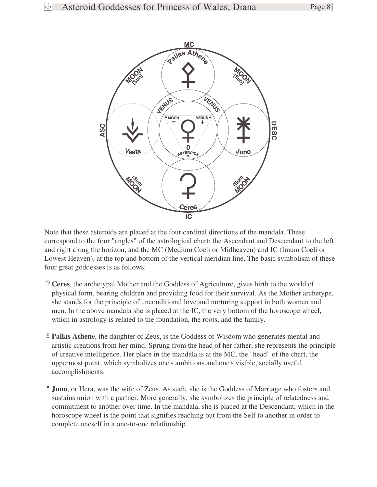

Note that these asteroids are placed at the four cardinal directions of the mandala. These correspond to the four "angles" of the astrological chart: the Ascendant and Descendant to the left and right along the horizon, and the MC (Medium Coeli or Midheaven) and IC (Imum Coeli or Lowest Heaven), at the top and bottom of the vertical meridian line. The basic symbolism of these four great goddesses is as follows:

- **Ceres**, the archetypal Mother and the Goddess of Agriculture, gives birth to the world of physical form, bearing children and providing food for their survival. As the Mother archetype, she stands for the principle of unconditional love and nurturing support in both women and men. In the above mandala she is placed at the IC, the very bottom of the horoscope wheel, which in astrology is related to the foundation, the roots, and the family.
- **Pallas Athene**, the daughter of Zeus, is the Goddess of Wisdom who generates mental and artistic creations from her mind. Sprung from the head of her father, she represents the principle of creative intelligence. Her place in the mandala is at the MC, the "head" of the chart, the uppermost point, which symbolizes one's ambitions and one's visible, socially useful accomplishments.
- **Juno**, or Hera, was the wife of Zeus. As such, she is the Goddess of Marriage who fosters and sustains union with a partner. More generally, she symbolizes the principle of relatedness and commitment to another over time. In the mandala, she is placed at the Descendant, which in the horoscope wheel is the point that signifies reaching out from the Self to another in order to complete oneself in a one-to-one relationship.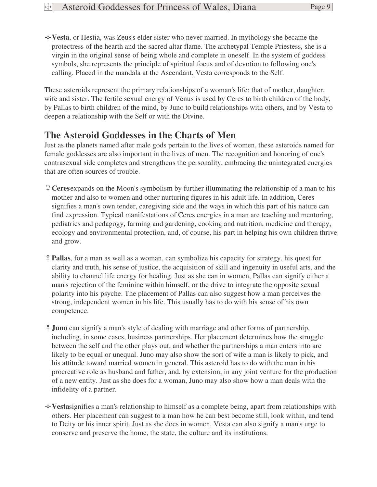**Vesta**, or Hestia, was Zeus's elder sister who never married. In mythology she became the protectress of the hearth and the sacred altar flame. The archetypal Temple Priestess, she is a virgin in the original sense of being whole and complete in oneself. In the system of goddess symbols, she represents the principle of spiritual focus and of devotion to following one's calling. Placed in the mandala at the Ascendant, Vesta corresponds to the Self.

These asteroids represent the primary relationships of a woman's life: that of mother, daughter, wife and sister. The fertile sexual energy of Venus is used by Ceres to birth children of the body, by Pallas to birth children of the mind, by Juno to build relationships with others, and by Vesta to deepen a relationship with the Self or with the Divine.

## **The Asteroid Goddesses in the Charts of Men**

Just as the planets named after male gods pertain to the lives of women, these asteroids named for female goddesses are also important in the lives of men. The recognition and honoring of one's contrasexual side completes and strengthens the personality, embracing the unintegrated energies that are often sources of trouble.

- **Ceres**expands on the Moon's symbolism by further illuminating the relationship of a man to his mother and also to women and other nurturing figures in his adult life. In addition, Ceres signifies a man's own tender, caregiving side and the ways in which this part of his nature can find expression. Typical manifestations of Ceres energies in a man are teaching and mentoring, pediatrics and pedagogy, farming and gardening, cooking and nutrition, medicine and therapy, ecology and environmental protection, and, of course, his part in helping his own children thrive and grow.
- **Pallas**, for a man as well as a woman, can symbolize his capacity for strategy, his quest for clarity and truth, his sense of justice, the acquisition of skill and ingenuity in useful arts, and the ability to channel life energy for healing. Just as she can in women, Pallas can signify either a man's rejection of the feminine within himself, or the drive to integrate the opposite sexual polarity into his psyche. The placement of Pallas can also suggest how a man perceives the strong, independent women in his life. This usually has to do with his sense of his own competence.
- **Juno** can signify a man's style of dealing with marriage and other forms of partnership, including, in some cases, business partnerships. Her placement determines how the struggle between the self and the other plays out, and whether the partnerships a man enters into are likely to be equal or unequal. Juno may also show the sort of wife a man is likely to pick, and his attitude toward married women in general. This asteroid has to do with the man in his procreative role as husband and father, and, by extension, in any joint venture for the production of a new entity. Just as she does for a woman, Juno may also show how a man deals with the infidelity of a partner.
- **Vesta**signifies a man's relationship to himself as a complete being, apart from relationships with others. Her placement can suggest to a man how he can best become still, look within, and tend to Deity or his inner spirit. Just as she does in women, Vesta can also signify a man's urge to conserve and preserve the home, the state, the culture and its institutions.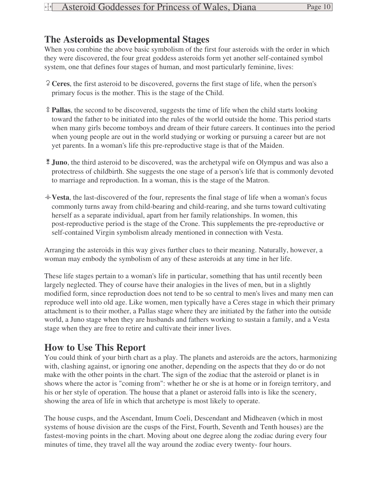## **The Asteroids as Developmental Stages**

When you combine the above basic symbolism of the first four asteroids with the order in which they were discovered, the four great goddess asteroids form yet another self-contained symbol system, one that defines four stages of human, and most particularly feminine, lives:

- **Ceres**, the first asteroid to be discovered, governs the first stage of life, when the person's primary focus is the mother. This is the stage of the Child.
- **Pallas**, the second to be discovered, suggests the time of life when the child starts looking toward the father to be initiated into the rules of the world outside the home. This period starts when many girls become tomboys and dream of their future careers. It continues into the period when young people are out in the world studying or working or pursuing a career but are not yet parents. In a woman's life this pre-reproductive stage is that of the Maiden.
- **Juno**, the third asteroid to be discovered, was the archetypal wife on Olympus and was also a protectress of childbirth. She suggests the one stage of a person's life that is commonly devoted to marriage and reproduction. In a woman, this is the stage of the Matron.
- **Vesta**, the last-discovered of the four, represents the final stage of life when a woman's focus commonly turns away from child-bearing and child-rearing, and she turns toward cultivating herself as a separate individual, apart from her family relationships. In women, this post-reproductive period is the stage of the Crone. This supplements the pre-reproductive or self-contained Virgin symbolism already mentioned in connection with Vesta.

Arranging the asteroids in this way gives further clues to their meaning. Naturally, however, a woman may embody the symbolism of any of these asteroids at any time in her life.

These life stages pertain to a woman's life in particular, something that has until recently been largely neglected. They of course have their analogies in the lives of men, but in a slightly modified form, since reproduction does not tend to be so central to men's lives and many men can reproduce well into old age. Like women, men typically have a Ceres stage in which their primary attachment is to their mother, a Pallas stage where they are initiated by the father into the outside world, a Juno stage when they are husbands and fathers working to sustain a family, and a Vesta stage when they are free to retire and cultivate their inner lives.

# **How to Use This Report**

You could think of your birth chart as a play. The planets and asteroids are the actors, harmonizing with, clashing against, or ignoring one another, depending on the aspects that they do or do not make with the other points in the chart. The sign of the zodiac that the asteroid or planet is in shows where the actor is "coming from": whether he or she is at home or in foreign territory, and his or her style of operation. The house that a planet or asteroid falls into is like the scenery, showing the area of life in which that archetype is most likely to operate.

The house cusps, and the Ascendant, Imum Coeli, Descendant and Midheaven (which in most systems of house division are the cusps of the First, Fourth, Seventh and Tenth houses) are the fastest-moving points in the chart. Moving about one degree along the zodiac during every four minutes of time, they travel all the way around the zodiac every twenty- four hours.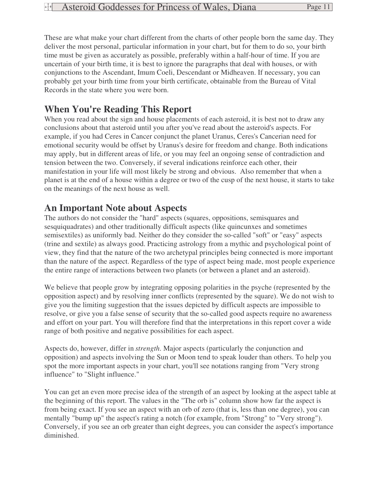These are what make your chart different from the charts of other people born the same day. They deliver the most personal, particular information in your chart, but for them to do so, your birth time must be given as accurately as possible, preferably within a half-hour of time. If you are uncertain of your birth time, it is best to ignore the paragraphs that deal with houses, or with conjunctions to the Ascendant, Imum Coeli, Descendant or Midheaven. If necessary, you can probably get your birth time from your birth certificate, obtainable from the Bureau of Vital Records in the state where you were born.

# **When You're Reading This Report**

When you read about the sign and house placements of each asteroid, it is best not to draw any conclusions about that asteroid until you after you've read about the asteroid's aspects. For example, if you had Ceres in Cancer conjunct the planet Uranus, Ceres's Cancerian need for emotional security would be offset by Uranus's desire for freedom and change. Both indications may apply, but in different areas of life, or you may feel an ongoing sense of contradiction and tension between the two. Conversely, if several indications reinforce each other, their manifestation in your life will most likely be strong and obvious. Also remember that when a planet is at the end of a house within a degree or two of the cusp of the next house, it starts to take on the meanings of the next house as well.

## **An Important Note about Aspects**

The authors do not consider the "hard" aspects (squares, oppositions, semisquares and sesquiquadrates) and other traditionally difficult aspects (like quincunxes and sometimes semisextiles) as uniformly bad. Neither do they consider the so-called "soft" or "easy" aspects (trine and sextile) as always good. Practicing astrology from a mythic and psychological point of view, they find that the nature of the two archetypal principles being connected is more important than the nature of the aspect. Regardless of the type of aspect being made, most people experience the entire range of interactions between two planets (or between a planet and an asteroid).

We believe that people grow by integrating opposing polarities in the psyche (represented by the opposition aspect) and by resolving inner conflicts (represented by the square). We do not wish to give you the limiting suggestion that the issues depicted by difficult aspects are impossible to resolve, or give you a false sense of security that the so-called good aspects require no awareness and effort on your part. You will therefore find that the interpretations in this report cover a wide range of both positive and negative possibilities for each aspect.

Aspects do, however, differ in *strength*. Major aspects (particularly the conjunction and opposition) and aspects involving the Sun or Moon tend to speak louder than others. To help you spot the more important aspects in your chart, you'll see notations ranging from "Very strong influence" to "Slight influence."

You can get an even more precise idea of the strength of an aspect by looking at the aspect table at the beginning of this report. The values in the "The orb is" column show how far the aspect is from being exact. If you see an aspect with an orb of zero (that is, less than one degree), you can mentally "bump up" the aspect's rating a notch (for example, from "Strong" to "Very strong"). Conversely, if you see an orb greater than eight degrees, you can consider the aspect's importance diminished.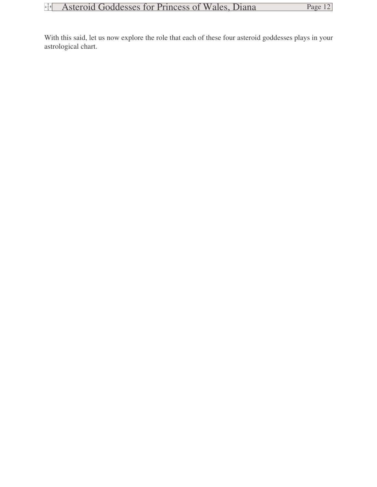With this said, let us now explore the role that each of these four asteroid goddesses plays in your astrological chart.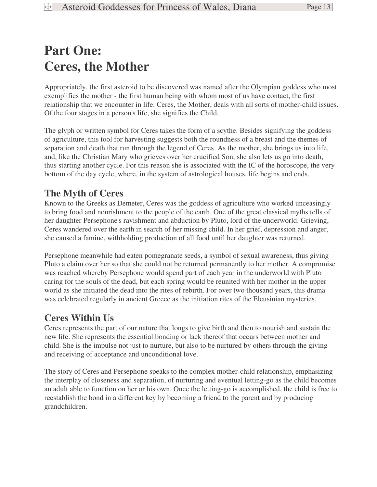# **Part One: Ceres, the Mother**

Appropriately, the first asteroid to be discovered was named after the Olympian goddess who most exemplifies the mother - the first human being with whom most of us have contact, the first relationship that we encounter in life. Ceres, the Mother, deals with all sorts of mother-child issues. Of the four stages in a person's life, she signifies the Child.

The glyph or written symbol for Ceres takes the form of a scythe. Besides signifying the goddess of agriculture, this tool for harvesting suggests both the roundness of a breast and the themes of separation and death that run through the legend of Ceres. As the mother, she brings us into life, and, like the Christian Mary who grieves over her crucified Son, she also lets us go into death, thus starting another cycle. For this reason she is associated with the IC of the horoscope, the very bottom of the day cycle, where, in the system of astrological houses, life begins and ends.

## **The Myth of Ceres**

Known to the Greeks as Demeter, Ceres was the goddess of agriculture who worked unceasingly to bring food and nourishment to the people of the earth. One of the great classical myths tells of her daughter Persephone's ravishment and abduction by Pluto, lord of the underworld. Grieving, Ceres wandered over the earth in search of her missing child. In her grief, depression and anger, she caused a famine, withholding production of all food until her daughter was returned.

Persephone meanwhile had eaten pomegranate seeds, a symbol of sexual awareness, thus giving Pluto a claim over her so that she could not be returned permanently to her mother. A compromise was reached whereby Persephone would spend part of each year in the underworld with Pluto caring for the souls of the dead, but each spring would be reunited with her mother in the upper world as she initiated the dead into the rites of rebirth. For over two thousand years, this drama was celebrated regularly in ancient Greece as the initiation rites of the Eleusinian mysteries.

## **Ceres Within Us**

Ceres represents the part of our nature that longs to give birth and then to nourish and sustain the new life. She represents the essential bonding or lack thereof that occurs between mother and child. She is the impulse not just to nurture, but also to be nurtured by others through the giving and receiving of acceptance and unconditional love.

The story of Ceres and Persephone speaks to the complex mother-child relationship, emphasizing the interplay of closeness and separation, of nurturing and eventual letting-go as the child becomes an adult able to function on her or his own. Once the letting-go is accomplished, the child is free to reestablish the bond in a different key by becoming a friend to the parent and by producing grandchildren.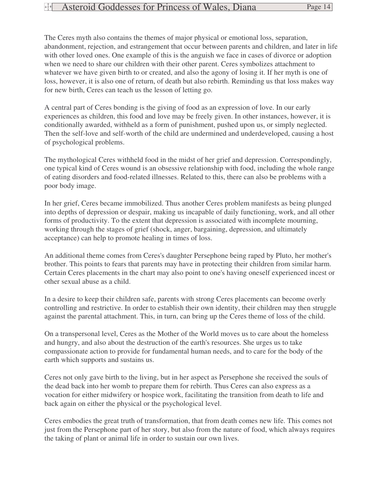The Ceres myth also contains the themes of major physical or emotional loss, separation, abandonment, rejection, and estrangement that occur between parents and children, and later in life with other loved ones. One example of this is the anguish we face in cases of divorce or adoption when we need to share our children with their other parent. Ceres symbolizes attachment to whatever we have given birth to or created, and also the agony of losing it. If her myth is one of loss, however, it is also one of return, of death but also rebirth. Reminding us that loss makes way for new birth, Ceres can teach us the lesson of letting go.

A central part of Ceres bonding is the giving of food as an expression of love. In our early experiences as children, this food and love may be freely given. In other instances, however, it is conditionally awarded, withheld as a form of punishment, pushed upon us, or simply neglected. Then the self-love and self-worth of the child are undermined and underdeveloped, causing a host of psychological problems.

The mythological Ceres withheld food in the midst of her grief and depression. Correspondingly, one typical kind of Ceres wound is an obsessive relationship with food, including the whole range of eating disorders and food-related illnesses. Related to this, there can also be problems with a poor body image.

In her grief, Ceres became immobilized. Thus another Ceres problem manifests as being plunged into depths of depression or despair, making us incapable of daily functioning, work, and all other forms of productivity. To the extent that depression is associated with incomplete mourning, working through the stages of grief (shock, anger, bargaining, depression, and ultimately acceptance) can help to promote healing in times of loss.

An additional theme comes from Ceres's daughter Persephone being raped by Pluto, her mother's brother. This points to fears that parents may have in protecting their children from similar harm. Certain Ceres placements in the chart may also point to one's having oneself experienced incest or other sexual abuse as a child.

In a desire to keep their children safe, parents with strong Ceres placements can become overly controlling and restrictive. In order to establish their own identity, their children may then struggle against the parental attachment. This, in turn, can bring up the Ceres theme of loss of the child.

On a transpersonal level, Ceres as the Mother of the World moves us to care about the homeless and hungry, and also about the destruction of the earth's resources. She urges us to take compassionate action to provide for fundamental human needs, and to care for the body of the earth which supports and sustains us.

Ceres not only gave birth to the living, but in her aspect as Persephone she received the souls of the dead back into her womb to prepare them for rebirth. Thus Ceres can also express as a vocation for either midwifery or hospice work, facilitating the transition from death to life and back again on either the physical or the psychological level.

Ceres embodies the great truth of transformation, that from death comes new life. This comes not just from the Persephone part of her story, but also from the nature of food, which always requires the taking of plant or animal life in order to sustain our own lives.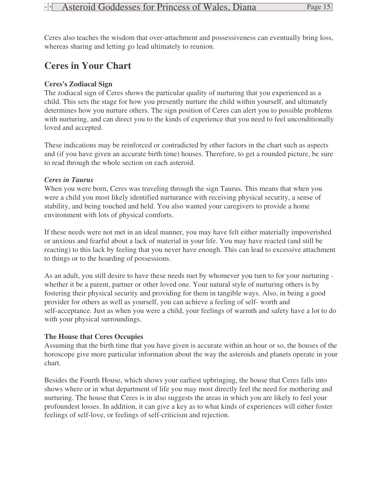Ceres also teaches the wisdom that over-attachment and possessiveness can eventually bring loss, whereas sharing and letting go lead ultimately to reunion.

## **Ceres in Your Chart**

#### **Ceres's Zodiacal Sign**

The zodiacal sign of Ceres shows the particular quality of nurturing that you experienced as a child. This sets the stage for how you presently nurture the child within yourself, and ultimately determines how you nurture others. The sign position of Ceres can alert you to possible problems with nurturing, and can direct you to the kinds of experience that you need to feel unconditionally loved and accepted.

These indications may be reinforced or contradicted by other factors in the chart such as aspects and (if you have given an accurate birth time) houses. Therefore, to get a rounded picture, be sure to read through the whole section on each asteroid.

#### *Ceres in Taurus*

When you were born, Ceres was traveling through the sign Taurus. This means that when you were a child you most likely identified nurturance with receiving physical security, a sense of stability, and being touched and held. You also wanted your caregivers to provide a home environment with lots of physical comforts.

If these needs were not met in an ideal manner, you may have felt either materially impoverished or anxious and fearful about a lack of material in your life. You may have reacted (and still be reacting) to this lack by feeling that you never have enough. This can lead to excessive attachment to things or to the hoarding of possessions.

As an adult, you still desire to have these needs met by whomever you turn to for your nurturing whether it be a parent, partner or other loved one. Your natural style of nurturing others is by fostering their physical security and providing for them in tangible ways. Also, in being a good provider for others as well as yourself, you can achieve a feeling of self- worth and self-acceptance. Just as when you were a child, your feelings of warmth and safety have a lot to do with your physical surroundings.

#### **The House that Ceres Occupies**

Assuming that the birth time that you have given is accurate within an hour or so, the houses of the horoscope give more particular information about the way the asteroids and planets operate in your chart.

Besides the Fourth House, which shows your earliest upbringing, the house that Ceres falls into shows where or in what department of life you may most directly feel the need for mothering and nurturing. The house that Ceres is in also suggests the areas in which you are likely to feel your profoundest losses. In addition, it can give a key as to what kinds of experiences will either foster feelings of self-love, or feelings of self-criticism and rejection.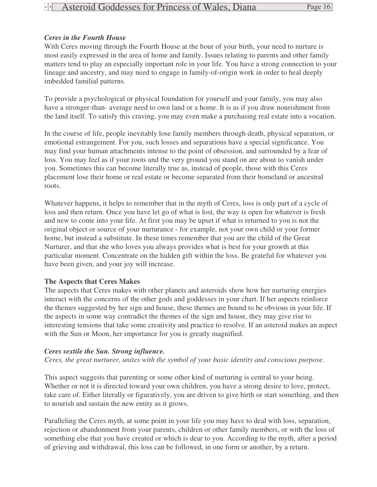#### *Ceres in the Fourth House*

With Ceres moving through the Fourth House at the hour of your birth, your need to nurture is most easily expressed in the area of home and family. Issues relating to parents and other family matters tend to play an especially important role in your life. You have a strong connection to your lineage and ancestry, and may need to engage in family-of-origin work in order to heal deeply imbedded familial patterns.

To provide a psychological or physical foundation for yourself and your family, you may also have a stronger-than- average need to own land or a home. It is as if you draw nourishment from the land itself. To satisfy this craving, you may even make a purchasing real estate into a vocation.

In the course of life, people inevitably lose family members through death, physical separation, or emotional estrangement. For you, such losses and separations have a special significance. You may find your human attachments intense to the point of obsession, and surrounded by a fear of loss. You may feel as if your roots and the very ground you stand on are about to vanish under you. Sometimes this can become literally true as, instead of people, those with this Ceres placement lose their home or real estate or become separated from their homeland or ancestral roots.

Whatever happens, it helps to remember that in the myth of Ceres, loss is only part of a cycle of loss and then return. Once you have let go of what is lost, the way is open for whatever is fresh and new to come into your life. At first you may be upset if what is returned to you is not the original object or source of your nurturance - for example, not your own child or your former home, but instead a substitute. In these times remember that you are the child of the Great Nurturer, and that she who loves you always provides what is best for your growth at this particular moment. Concentrate on the hidden gift within the loss. Be grateful for whatever you have been given, and your joy will increase.

#### **The Aspects that Ceres Makes**

The aspects that Ceres makes with other planets and asteroids show how her nurturing energies interact with the concerns of the other gods and goddesses in your chart. If her aspects reinforce the themes suggested by her sign and house, these themes are bound to be obvious in your life. If the aspects in some way contradict the themes of the sign and house, they may give rise to interesting tensions that take some creativity and practice to resolve. If an asteroid makes an aspect with the Sun or Moon, her importance for you is greatly magnified.

#### *Ceres sextile the Sun. Strong influence.*

*Ceres, the great nurturer, unites with the symbol of your basic identity and conscious purpose.*

This aspect suggests that parenting or some other kind of nurturing is central to your being. Whether or not it is directed toward your own children, you have a strong desire to love, protect, take care of. Either literally or figuratively, you are driven to give birth or start something, and then to nourish and sustain the new entity as it grows.

Paralleling the Ceres myth, at some point in your life you may have to deal with loss, separation, rejection or abandonment from your parents, children or other family members, or with the loss of something else that you have created or which is dear to you. According to the myth, after a period of grieving and withdrawal, this loss can be followed, in one form or another, by a return.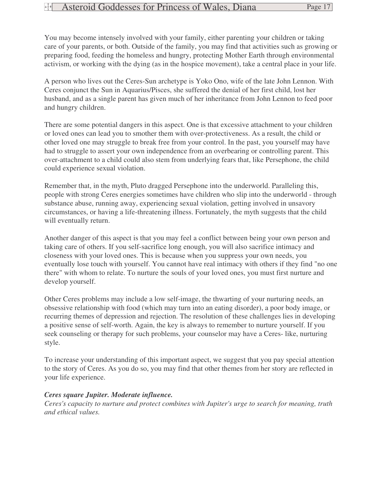You may become intensely involved with your family, either parenting your children or taking care of your parents, or both. Outside of the family, you may find that activities such as growing or preparing food, feeding the homeless and hungry, protecting Mother Earth through environmental activism, or working with the dying (as in the hospice movement), take a central place in your life.

A person who lives out the Ceres-Sun archetype is Yoko Ono, wife of the late John Lennon. With Ceres conjunct the Sun in Aquarius/Pisces, she suffered the denial of her first child, lost her husband, and as a single parent has given much of her inheritance from John Lennon to feed poor and hungry children.

There are some potential dangers in this aspect. One is that excessive attachment to your children or loved ones can lead you to smother them with over-protectiveness. As a result, the child or other loved one may struggle to break free from your control. In the past, you yourself may have had to struggle to assert your own independence from an overbearing or controlling parent. This over-attachment to a child could also stem from underlying fears that, like Persephone, the child could experience sexual violation.

Remember that, in the myth, Pluto dragged Persephone into the underworld. Paralleling this, people with strong Ceres energies sometimes have children who slip into the underworld - through substance abuse, running away, experiencing sexual violation, getting involved in unsavory circumstances, or having a life-threatening illness. Fortunately, the myth suggests that the child will eventually return.

Another danger of this aspect is that you may feel a conflict between being your own person and taking care of others. If you self-sacrifice long enough, you will also sacrifice intimacy and closeness with your loved ones. This is because when you suppress your own needs, you eventually lose touch with yourself. You cannot have real intimacy with others if they find "no one there" with whom to relate. To nurture the souls of your loved ones, you must first nurture and develop yourself.

Other Ceres problems may include a low self-image, the thwarting of your nurturing needs, an obsessive relationship with food (which may turn into an eating disorder), a poor body image, or recurring themes of depression and rejection. The resolution of these challenges lies in developing a positive sense of self-worth. Again, the key is always to remember to nurture yourself. If you seek counseling or therapy for such problems, your counselor may have a Ceres- like, nurturing style.

To increase your understanding of this important aspect, we suggest that you pay special attention to the story of Ceres. As you do so, you may find that other themes from her story are reflected in your life experience.

#### *Ceres square Jupiter. Moderate influence.*

*Ceres's capacity to nurture and protect combines with Jupiter's urge to search for meaning, truth and ethical values.*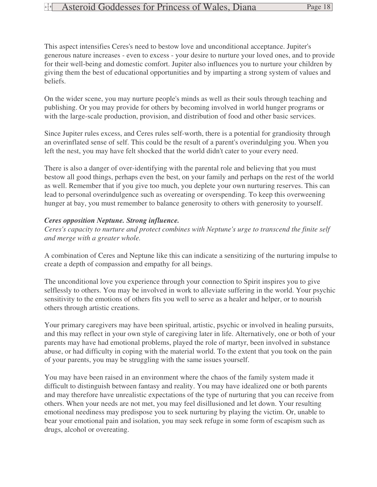This aspect intensifies Ceres's need to bestow love and unconditional acceptance. Jupiter's generous nature increases - even to excess - your desire to nurture your loved ones, and to provide for their well-being and domestic comfort. Jupiter also influences you to nurture your children by giving them the best of educational opportunities and by imparting a strong system of values and beliefs.

On the wider scene, you may nurture people's minds as well as their souls through teaching and publishing. Or you may provide for others by becoming involved in world hunger programs or with the large-scale production, provision, and distribution of food and other basic services.

Since Jupiter rules excess, and Ceres rules self-worth, there is a potential for grandiosity through an overinflated sense of self. This could be the result of a parent's overindulging you. When you left the nest, you may have felt shocked that the world didn't cater to your every need.

There is also a danger of over-identifying with the parental role and believing that you must bestow all good things, perhaps even the best, on your family and perhaps on the rest of the world as well. Remember that if you give too much, you deplete your own nurturing reserves. This can lead to personal overindulgence such as overeating or overspending. To keep this overweening hunger at bay, you must remember to balance generosity to others with generosity to yourself.

#### *Ceres opposition Neptune. Strong influence.*

*Ceres's capacity to nurture and protect combines with Neptune's urge to transcend the finite self and merge with a greater whole.*

A combination of Ceres and Neptune like this can indicate a sensitizing of the nurturing impulse to create a depth of compassion and empathy for all beings.

The unconditional love you experience through your connection to Spirit inspires you to give selflessly to others. You may be involved in work to alleviate suffering in the world. Your psychic sensitivity to the emotions of others fits you well to serve as a healer and helper, or to nourish others through artistic creations.

Your primary caregivers may have been spiritual, artistic, psychic or involved in healing pursuits, and this may reflect in your own style of caregiving later in life. Alternatively, one or both of your parents may have had emotional problems, played the role of martyr, been involved in substance abuse, or had difficulty in coping with the material world. To the extent that you took on the pain of your parents, you may be struggling with the same issues yourself.

You may have been raised in an environment where the chaos of the family system made it difficult to distinguish between fantasy and reality. You may have idealized one or both parents and may therefore have unrealistic expectations of the type of nurturing that you can receive from others. When your needs are not met, you may feel disillusioned and let down. Your resulting emotional neediness may predispose you to seek nurturing by playing the victim. Or, unable to bear your emotional pain and isolation, you may seek refuge in some form of escapism such as drugs, alcohol or overeating.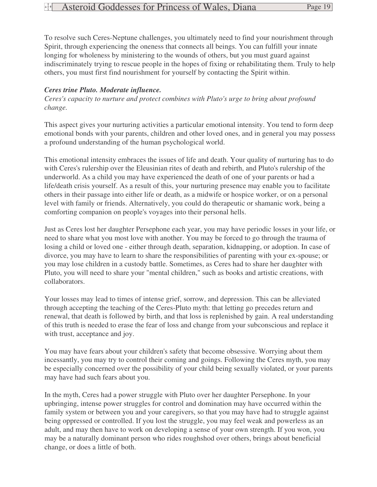To resolve such Ceres-Neptune challenges, you ultimately need to find your nourishment through Spirit, through experiencing the oneness that connects all beings. You can fulfill your innate longing for wholeness by ministering to the wounds of others, but you must guard against indiscriminately trying to rescue people in the hopes of fixing or rehabilitating them. Truly to help others, you must first find nourishment for yourself by contacting the Spirit within.

#### *Ceres trine Pluto. Moderate influence.*

*Ceres's capacity to nurture and protect combines with Pluto's urge to bring about profound change.*

This aspect gives your nurturing activities a particular emotional intensity. You tend to form deep emotional bonds with your parents, children and other loved ones, and in general you may possess a profound understanding of the human psychological world.

This emotional intensity embraces the issues of life and death. Your quality of nurturing has to do with Ceres's rulership over the Eleusinian rites of death and rebirth, and Pluto's rulership of the underworld. As a child you may have experienced the death of one of your parents or had a life/death crisis yourself. As a result of this, your nurturing presence may enable you to facilitate others in their passage into either life or death, as a midwife or hospice worker, or on a personal level with family or friends. Alternatively, you could do therapeutic or shamanic work, being a comforting companion on people's voyages into their personal hells.

Just as Ceres lost her daughter Persephone each year, you may have periodic losses in your life, or need to share what you most love with another. You may be forced to go through the trauma of losing a child or loved one - either through death, separation, kidnapping, or adoption. In case of divorce, you may have to learn to share the responsibilities of parenting with your ex-spouse; or you may lose children in a custody battle. Sometimes, as Ceres had to share her daughter with Pluto, you will need to share your "mental children," such as books and artistic creations, with collaborators.

Your losses may lead to times of intense grief, sorrow, and depression. This can be alleviated through accepting the teaching of the Ceres-Pluto myth: that letting go precedes return and renewal, that death is followed by birth, and that loss is replenished by gain. A real understanding of this truth is needed to erase the fear of loss and change from your subconscious and replace it with trust, acceptance and joy.

You may have fears about your children's safety that become obsessive. Worrying about them incessantly, you may try to control their coming and goings. Following the Ceres myth, you may be especially concerned over the possibility of your child being sexually violated, or your parents may have had such fears about you.

In the myth, Ceres had a power struggle with Pluto over her daughter Persephone. In your upbringing, intense power struggles for control and domination may have occurred within the family system or between you and your caregivers, so that you may have had to struggle against being oppressed or controlled. If you lost the struggle, you may feel weak and powerless as an adult, and may then have to work on developing a sense of your own strength. If you won, you may be a naturally dominant person who rides roughshod over others, brings about beneficial change, or does a little of both.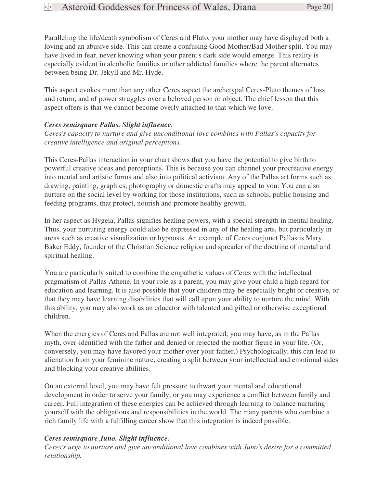Paralleling the life/death symbolism of Ceres and Pluto, your mother may have displayed both a loving and an abusive side. This can create a confusing Good Mother/Bad Mother split. You may have lived in fear, never knowing when your parent's dark side would emerge. This reality is especially evident in alcoholic families or other addicted families where the parent alternates between being Dr. Jekyll and Mr. Hyde.

This aspect evokes more than any other Ceres aspect the archetypal Ceres-Pluto themes of loss and return, and of power struggles over a beloved person or object. The chief lesson that this aspect offers is that we cannot become overly attached to that which we love.

#### *Ceres semisquare Pallas. Slight influence.*

*Ceres's capacity to nurture and give unconditional love combines with Pallas's capacity for creative intelligence and original perceptions.*

This Ceres-Pallas interaction in your chart shows that you have the potential to give birth to powerful creative ideas and perceptions. This is because you can channel your procreative energy into mental and artistic forms and also into political activism. Any of the Pallas art forms such as drawing, painting, graphics, photography or domestic crafts may appeal to you. You can also nurture on the social level by working for those institutions, such as schools, public housing and feeding programs, that protect, nourish and promote healthy growth.

In her aspect as Hygeia, Pallas signifies healing powers, with a special strength in mental healing. Thus, your nurturing energy could also be expressed in any of the healing arts, but particularly in areas such as creative visualization or hypnosis. An example of Ceres conjunct Pallas is Mary Baker Eddy, founder of the Christian Science religion and spreader of the doctrine of mental and spiritual healing.

You are particularly suited to combine the empathetic values of Ceres with the intellectual pragmatism of Pallas Athene. In your role as a parent, you may give your child a high regard for education and learning. It is also possible that your children may be especially bright or creative, or that they may have learning disabilities that will call upon your ability to nurture the mind. With this ability, you may also work as an educator with talented and gifted or otherwise exceptional children.

When the energies of Ceres and Pallas are not well integrated, you may have, as in the Pallas myth, over-identified with the father and denied or rejected the mother figure in your life. (Or, conversely, you may have favored your mother over your father.) Psychologically, this can lead to alienation from your feminine nature, creating a split between your intellectual and emotional sides and blocking your creative abilities.

On an external level, you may have felt pressure to thwart your mental and educational development in order to serve your family, or you may experience a conflict between family and career. Full integration of these energies can be achieved through learning to balance nurturing yourself with the obligations and responsibilities in the world. The many parents who combine a rich family life with a fulfilling career show that this integration is indeed possible.

#### *Ceres semisquare Juno. Slight influence.*

*Ceres's urge to nurture and give unconditional love combines with Juno's desire for a committed relationship.*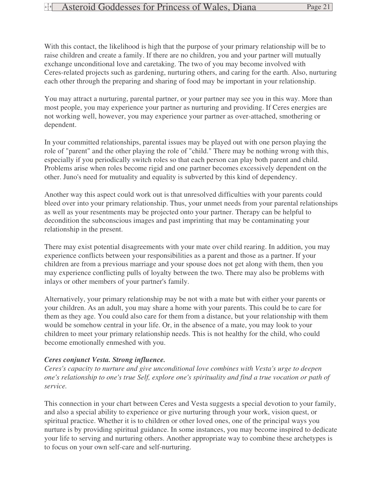With this contact, the likelihood is high that the purpose of your primary relationship will be to raise children and create a family. If there are no children, you and your partner will mutually exchange unconditional love and caretaking. The two of you may become involved with Ceres-related projects such as gardening, nurturing others, and caring for the earth. Also, nurturing each other through the preparing and sharing of food may be important in your relationship.

You may attract a nurturing, parental partner, or your partner may see you in this way. More than most people, you may experience your partner as nurturing and providing. If Ceres energies are not working well, however, you may experience your partner as over-attached, smothering or dependent.

In your committed relationships, parental issues may be played out with one person playing the role of "parent" and the other playing the role of "child." There may be nothing wrong with this, especially if you periodically switch roles so that each person can play both parent and child. Problems arise when roles become rigid and one partner becomes excessively dependent on the other. Juno's need for mutuality and equality is subverted by this kind of dependency.

Another way this aspect could work out is that unresolved difficulties with your parents could bleed over into your primary relationship. Thus, your unmet needs from your parental relationships as well as your resentments may be projected onto your partner. Therapy can be helpful to decondition the subconscious images and past imprinting that may be contaminating your relationship in the present.

There may exist potential disagreements with your mate over child rearing. In addition, you may experience conflicts between your responsibilities as a parent and those as a partner. If your children are from a previous marriage and your spouse does not get along with them, then you may experience conflicting pulls of loyalty between the two. There may also be problems with inlays or other members of your partner's family.

Alternatively, your primary relationship may be not with a mate but with either your parents or your children. As an adult, you may share a home with your parents. This could be to care for them as they age. You could also care for them from a distance, but your relationship with them would be somehow central in your life. Or, in the absence of a mate, you may look to your children to meet your primary relationship needs. This is not healthy for the child, who could become emotionally enmeshed with you.

#### *Ceres conjunct Vesta. Strong influence.*

*Ceres's capacity to nurture and give unconditional love combines with Vesta's urge to deepen one's relationship to one's true Self, explore one's spirituality and find a true vocation or path of service.*

This connection in your chart between Ceres and Vesta suggests a special devotion to your family, and also a special ability to experience or give nurturing through your work, vision quest, or spiritual practice. Whether it is to children or other loved ones, one of the principal ways you nurture is by providing spiritual guidance. In some instances, you may become inspired to dedicate your life to serving and nurturing others. Another appropriate way to combine these archetypes is to focus on your own self-care and self-nurturing.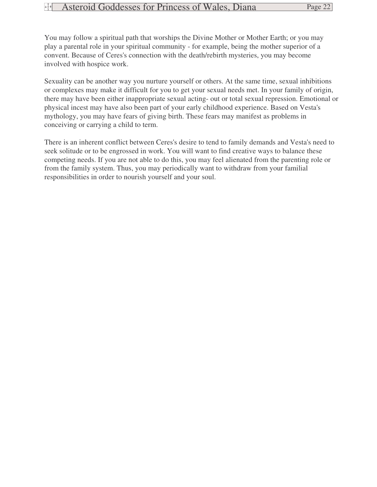You may follow a spiritual path that worships the Divine Mother or Mother Earth; or you may play a parental role in your spiritual community - for example, being the mother superior of a convent. Because of Ceres's connection with the death/rebirth mysteries, you may become involved with hospice work.

Sexuality can be another way you nurture yourself or others. At the same time, sexual inhibitions or complexes may make it difficult for you to get your sexual needs met. In your family of origin, there may have been either inappropriate sexual acting- out or total sexual repression. Emotional or physical incest may have also been part of your early childhood experience. Based on Vesta's mythology, you may have fears of giving birth. These fears may manifest as problems in conceiving or carrying a child to term.

There is an inherent conflict between Ceres's desire to tend to family demands and Vesta's need to seek solitude or to be engrossed in work. You will want to find creative ways to balance these competing needs. If you are not able to do this, you may feel alienated from the parenting role or from the family system. Thus, you may periodically want to withdraw from your familial responsibilities in order to nourish yourself and your soul.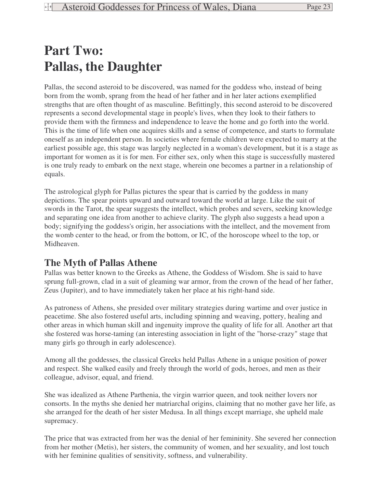# **Part Two: Pallas, the Daughter**

Pallas, the second asteroid to be discovered, was named for the goddess who, instead of being born from the womb, sprang from the head of her father and in her later actions exemplified strengths that are often thought of as masculine. Befittingly, this second asteroid to be discovered represents a second developmental stage in people's lives, when they look to their fathers to provide them with the firmness and independence to leave the home and go forth into the world. This is the time of life when one acquires skills and a sense of competence, and starts to formulate oneself as an independent person. In societies where female children were expected to marry at the earliest possible age, this stage was largely neglected in a woman's development, but it is a stage as important for women as it is for men. For either sex, only when this stage is successfully mastered is one truly ready to embark on the next stage, wherein one becomes a partner in a relationship of equals.

The astrological glyph for Pallas pictures the spear that is carried by the goddess in many depictions. The spear points upward and outward toward the world at large. Like the suit of swords in the Tarot, the spear suggests the intellect, which probes and severs, seeking knowledge and separating one idea from another to achieve clarity. The glyph also suggests a head upon a body; signifying the goddess's origin, her associations with the intellect, and the movement from the womb center to the head, or from the bottom, or IC, of the horoscope wheel to the top, or Midheaven.

## **The Myth of Pallas Athene**

Pallas was better known to the Greeks as Athene, the Goddess of Wisdom. She is said to have sprung full-grown, clad in a suit of gleaming war armor, from the crown of the head of her father, Zeus (Jupiter), and to have immediately taken her place at his right-hand side.

As patroness of Athens, she presided over military strategies during wartime and over justice in peacetime. She also fostered useful arts, including spinning and weaving, pottery, healing and other areas in which human skill and ingenuity improve the quality of life for all. Another art that she fostered was horse-taming (an interesting association in light of the "horse-crazy" stage that many girls go through in early adolescence).

Among all the goddesses, the classical Greeks held Pallas Athene in a unique position of power and respect. She walked easily and freely through the world of gods, heroes, and men as their colleague, advisor, equal, and friend.

She was idealized as Athene Parthenia, the virgin warrior queen, and took neither lovers nor consorts. In the myths she denied her matriarchal origins, claiming that no mother gave her life, as she arranged for the death of her sister Medusa. In all things except marriage, she upheld male supremacy.

The price that was extracted from her was the denial of her femininity. She severed her connection from her mother (Metis), her sisters, the community of women, and her sexuality, and lost touch with her feminine qualities of sensitivity, softness, and vulnerability.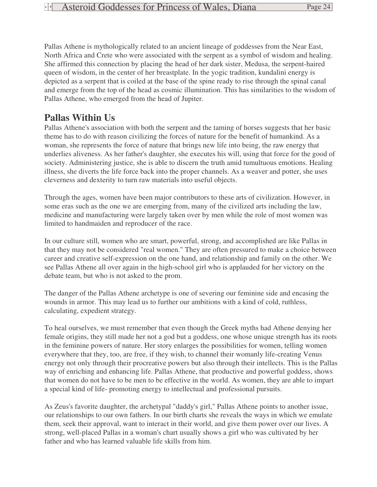Pallas Athene is mythologically related to an ancient lineage of goddesses from the Near East, North Africa and Crete who were associated with the serpent as a symbol of wisdom and healing. She affirmed this connection by placing the head of her dark sister, Medusa, the serpent-haired queen of wisdom, in the center of her breastplate. In the yogic tradition, kundalini energy is depicted as a serpent that is coiled at the base of the spine ready to rise through the spinal canal and emerge from the top of the head as cosmic illumination. This has similarities to the wisdom of Pallas Athene, who emerged from the head of Jupiter.

## **Pallas Within Us**

Pallas Athene's association with both the serpent and the taming of horses suggests that her basic theme has to do with reason civilizing the forces of nature for the benefit of humankind. As a woman, she represents the force of nature that brings new life into being, the raw energy that underlies aliveness. As her father's daughter, she executes his will, using that force for the good of society. Administering justice, she is able to discern the truth amid tumultuous emotions. Healing illness, she diverts the life force back into the proper channels. As a weaver and potter, she uses cleverness and dexterity to turn raw materials into useful objects.

Through the ages, women have been major contributors to these arts of civilization. However, in some eras such as the one we are emerging from, many of the civilized arts including the law, medicine and manufacturing were largely taken over by men while the role of most women was limited to handmaiden and reproducer of the race.

In our culture still, women who are smart, powerful, strong, and accomplished are like Pallas in that they may not be considered "real women." They are often pressured to make a choice between career and creative self-expression on the one hand, and relationship and family on the other. We see Pallas Athene all over again in the high-school girl who is applauded for her victory on the debate team, but who is not asked to the prom.

The danger of the Pallas Athene archetype is one of severing our feminine side and encasing the wounds in armor. This may lead us to further our ambitions with a kind of cold, ruthless, calculating, expedient strategy.

To heal ourselves, we must remember that even though the Greek myths had Athene denying her female origins, they still made her not a god but a goddess, one whose unique strength has its roots in the feminine powers of nature. Her story enlarges the possibilities for women, telling women everywhere that they, too, are free, if they wish, to channel their womanly life-creating Venus energy not only through their procreative powers but also through their intellects. This is the Pallas way of enriching and enhancing life. Pallas Athene, that productive and powerful goddess, shows that women do not have to be men to be effective in the world. As women, they are able to impart a special kind of life- promoting energy to intellectual and professional pursuits.

As Zeus's favorite daughter, the archetypal "daddy's girl," Pallas Athene points to another issue, our relationships to our own fathers. In our birth charts she reveals the ways in which we emulate them, seek their approval, want to interact in their world, and give them power over our lives. A strong, well-placed Pallas in a woman's chart usually shows a girl who was cultivated by her father and who has learned valuable life skills from him.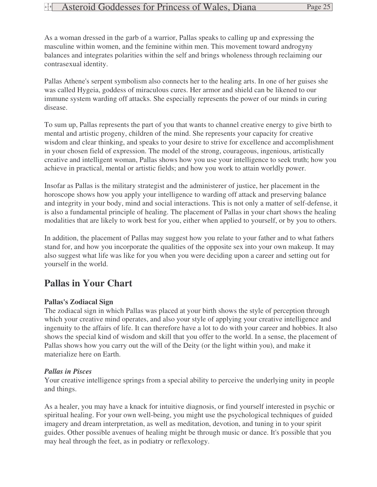As a woman dressed in the garb of a warrior, Pallas speaks to calling up and expressing the masculine within women, and the feminine within men. This movement toward androgyny balances and integrates polarities within the self and brings wholeness through reclaiming our contrasexual identity.

Pallas Athene's serpent symbolism also connects her to the healing arts. In one of her guises she was called Hygeia, goddess of miraculous cures. Her armor and shield can be likened to our immune system warding off attacks. She especially represents the power of our minds in curing disease.

To sum up, Pallas represents the part of you that wants to channel creative energy to give birth to mental and artistic progeny, children of the mind. She represents your capacity for creative wisdom and clear thinking, and speaks to your desire to strive for excellence and accomplishment in your chosen field of expression. The model of the strong, courageous, ingenious, artistically creative and intelligent woman, Pallas shows how you use your intelligence to seek truth; how you achieve in practical, mental or artistic fields; and how you work to attain worldly power.

Insofar as Pallas is the military strategist and the administerer of justice, her placement in the horoscope shows how you apply your intelligence to warding off attack and preserving balance and integrity in your body, mind and social interactions. This is not only a matter of self-defense, it is also a fundamental principle of healing. The placement of Pallas in your chart shows the healing modalities that are likely to work best for you, either when applied to yourself, or by you to others.

In addition, the placement of Pallas may suggest how you relate to your father and to what fathers stand for, and how you incorporate the qualities of the opposite sex into your own makeup. It may also suggest what life was like for you when you were deciding upon a career and setting out for yourself in the world.

# **Pallas in Your Chart**

### **Pallas's Zodiacal Sign**

The zodiacal sign in which Pallas was placed at your birth shows the style of perception through which your creative mind operates, and also your style of applying your creative intelligence and ingenuity to the affairs of life. It can therefore have a lot to do with your career and hobbies. It also shows the special kind of wisdom and skill that you offer to the world. In a sense, the placement of Pallas shows how you carry out the will of the Deity (or the light within you), and make it materialize here on Earth.

#### *Pallas in Pisces*

Your creative intelligence springs from a special ability to perceive the underlying unity in people and things.

As a healer, you may have a knack for intuitive diagnosis, or find yourself interested in psychic or spiritual healing. For your own well-being, you might use the psychological techniques of guided imagery and dream interpretation, as well as meditation, devotion, and tuning in to your spirit guides. Other possible avenues of healing might be through music or dance. It's possible that you may heal through the feet, as in podiatry or reflexology.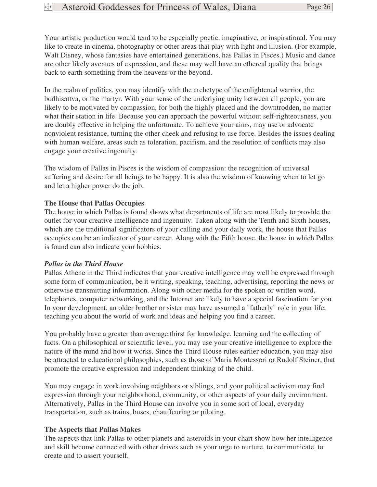Your artistic production would tend to be especially poetic, imaginative, or inspirational. You may like to create in cinema, photography or other areas that play with light and illusion. (For example, Walt Disney, whose fantasies have entertained generations, has Pallas in Pisces.) Music and dance are other likely avenues of expression, and these may well have an ethereal quality that brings back to earth something from the heavens or the beyond.

In the realm of politics, you may identify with the archetype of the enlightened warrior, the bodhisattva, or the martyr. With your sense of the underlying unity between all people, you are likely to be motivated by compassion, for both the highly placed and the downtrodden, no matter what their station in life. Because you can approach the powerful without self-righteousness, you are doubly effective in helping the unfortunate. To achieve your aims, may use or advocate nonviolent resistance, turning the other cheek and refusing to use force. Besides the issues dealing with human welfare, areas such as toleration, pacifism, and the resolution of conflicts may also engage your creative ingenuity.

The wisdom of Pallas in Pisces is the wisdom of compassion: the recognition of universal suffering and desire for all beings to be happy. It is also the wisdom of knowing when to let go and let a higher power do the job.

#### **The House that Pallas Occupies**

The house in which Pallas is found shows what departments of life are most likely to provide the outlet for your creative intelligence and ingenuity. Taken along with the Tenth and Sixth houses, which are the traditional significators of your calling and your daily work, the house that Pallas occupies can be an indicator of your career. Along with the Fifth house, the house in which Pallas is found can also indicate your hobbies.

#### *Pallas in the Third House*

Pallas Athene in the Third indicates that your creative intelligence may well be expressed through some form of communication, be it writing, speaking, teaching, advertising, reporting the news or otherwise transmitting information. Along with other media for the spoken or written word, telephones, computer networking, and the Internet are likely to have a special fascination for you. In your development, an older brother or sister may have assumed a "fatherly" role in your life, teaching you about the world of work and ideas and helping you find a career.

You probably have a greater than average thirst for knowledge, learning and the collecting of facts. On a philosophical or scientific level, you may use your creative intelligence to explore the nature of the mind and how it works. Since the Third House rules earlier education, you may also be attracted to educational philosophies, such as those of Maria Montessori or Rudolf Steiner, that promote the creative expression and independent thinking of the child.

You may engage in work involving neighbors or siblings, and your political activism may find expression through your neighborhood, community, or other aspects of your daily environment. Alternatively, Pallas in the Third House can involve you in some sort of local, everyday transportation, such as trains, buses, chauffeuring or piloting.

#### **The Aspects that Pallas Makes**

The aspects that link Pallas to other planets and asteroids in your chart show how her intelligence and skill become connected with other drives such as your urge to nurture, to communicate, to create and to assert yourself.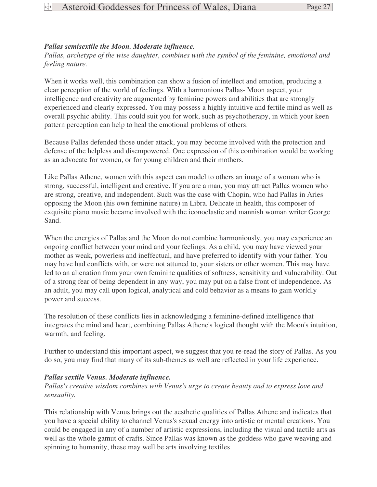#### *Pallas semisextile the Moon. Moderate influence.*

*Pallas, archetype of the wise daughter, combines with the symbol of the feminine, emotional and feeling nature.*

When it works well, this combination can show a fusion of intellect and emotion, producing a clear perception of the world of feelings. With a harmonious Pallas- Moon aspect, your intelligence and creativity are augmented by feminine powers and abilities that are strongly experienced and clearly expressed. You may possess a highly intuitive and fertile mind as well as overall psychic ability. This could suit you for work, such as psychotherapy, in which your keen pattern perception can help to heal the emotional problems of others.

Because Pallas defended those under attack, you may become involved with the protection and defense of the helpless and disempowered. One expression of this combination would be working as an advocate for women, or for young children and their mothers.

Like Pallas Athene, women with this aspect can model to others an image of a woman who is strong, successful, intelligent and creative. If you are a man, you may attract Pallas women who are strong, creative, and independent. Such was the case with Chopin, who had Pallas in Aries opposing the Moon (his own feminine nature) in Libra. Delicate in health, this composer of exquisite piano music became involved with the iconoclastic and mannish woman writer George Sand.

When the energies of Pallas and the Moon do not combine harmoniously, you may experience an ongoing conflict between your mind and your feelings. As a child, you may have viewed your mother as weak, powerless and ineffectual, and have preferred to identify with your father. You may have had conflicts with, or were not attuned to, your sisters or other women. This may have led to an alienation from your own feminine qualities of softness, sensitivity and vulnerability. Out of a strong fear of being dependent in any way, you may put on a false front of independence. As an adult, you may call upon logical, analytical and cold behavior as a means to gain worldly power and success.

The resolution of these conflicts lies in acknowledging a feminine-defined intelligence that integrates the mind and heart, combining Pallas Athene's logical thought with the Moon's intuition, warmth, and feeling.

Further to understand this important aspect, we suggest that you re-read the story of Pallas. As you do so, you may find that many of its sub-themes as well are reflected in your life experience.

#### *Pallas sextile Venus. Moderate influence.*

*Pallas's creative wisdom combines with Venus's urge to create beauty and to express love and sensuality.*

This relationship with Venus brings out the aesthetic qualities of Pallas Athene and indicates that you have a special ability to channel Venus's sexual energy into artistic or mental creations. You could be engaged in any of a number of artistic expressions, including the visual and tactile arts as well as the whole gamut of crafts. Since Pallas was known as the goddess who gave weaving and spinning to humanity, these may well be arts involving textiles.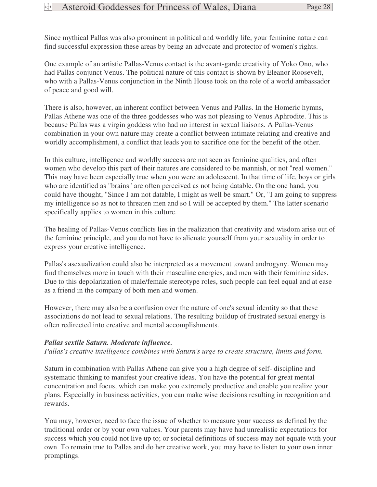Since mythical Pallas was also prominent in political and worldly life, your feminine nature can find successful expression these areas by being an advocate and protector of women's rights.

One example of an artistic Pallas-Venus contact is the avant-garde creativity of Yoko Ono, who had Pallas conjunct Venus. The political nature of this contact is shown by Eleanor Roosevelt, who with a Pallas-Venus conjunction in the Ninth House took on the role of a world ambassador of peace and good will.

There is also, however, an inherent conflict between Venus and Pallas. In the Homeric hymns, Pallas Athene was one of the three goddesses who was not pleasing to Venus Aphrodite. This is because Pallas was a virgin goddess who had no interest in sexual liaisons. A Pallas-Venus combination in your own nature may create a conflict between intimate relating and creative and worldly accomplishment, a conflict that leads you to sacrifice one for the benefit of the other.

In this culture, intelligence and worldly success are not seen as feminine qualities, and often women who develop this part of their natures are considered to be mannish, or not "real women." This may have been especially true when you were an adolescent. In that time of life, boys or girls who are identified as "brains" are often perceived as not being datable. On the one hand, you could have thought, "Since I am not datable, I might as well be smart." Or, "I am going to suppress my intelligence so as not to threaten men and so I will be accepted by them." The latter scenario specifically applies to women in this culture.

The healing of Pallas-Venus conflicts lies in the realization that creativity and wisdom arise out of the feminine principle, and you do not have to alienate yourself from your sexuality in order to express your creative intelligence.

Pallas's asexualization could also be interpreted as a movement toward androgyny. Women may find themselves more in touch with their masculine energies, and men with their feminine sides. Due to this depolarization of male/female stereotype roles, such people can feel equal and at ease as a friend in the company of both men and women.

However, there may also be a confusion over the nature of one's sexual identity so that these associations do not lead to sexual relations. The resulting buildup of frustrated sexual energy is often redirected into creative and mental accomplishments.

#### *Pallas sextile Saturn. Moderate influence.*

*Pallas's creative intelligence combines with Saturn's urge to create structure, limits and form.*

Saturn in combination with Pallas Athene can give you a high degree of self- discipline and systematic thinking to manifest your creative ideas. You have the potential for great mental concentration and focus, which can make you extremely productive and enable you realize your plans. Especially in business activities, you can make wise decisions resulting in recognition and rewards.

You may, however, need to face the issue of whether to measure your success as defined by the traditional order or by your own values. Your parents may have had unrealistic expectations for success which you could not live up to; or societal definitions of success may not equate with your own. To remain true to Pallas and do her creative work, you may have to listen to your own inner promptings.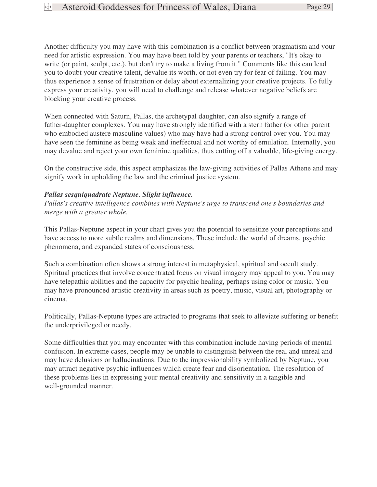Another difficulty you may have with this combination is a conflict between pragmatism and your need for artistic expression. You may have been told by your parents or teachers, "It's okay to write (or paint, sculpt, etc.), but don't try to make a living from it." Comments like this can lead you to doubt your creative talent, devalue its worth, or not even try for fear of failing. You may thus experience a sense of frustration or delay about externalizing your creative projects. To fully express your creativity, you will need to challenge and release whatever negative beliefs are blocking your creative process.

When connected with Saturn, Pallas, the archetypal daughter, can also signify a range of father-daughter complexes. You may have strongly identified with a stern father (or other parent who embodied austere masculine values) who may have had a strong control over you. You may have seen the feminine as being weak and ineffectual and not worthy of emulation. Internally, you may devalue and reject your own feminine qualities, thus cutting off a valuable, life-giving energy.

On the constructive side, this aspect emphasizes the law-giving activities of Pallas Athene and may signify work in upholding the law and the criminal justice system.

#### *Pallas sesquiquadrate Neptune. Slight influence.*

*Pallas's creative intelligence combines with Neptune's urge to transcend one's boundaries and merge with a greater whole.*

This Pallas-Neptune aspect in your chart gives you the potential to sensitize your perceptions and have access to more subtle realms and dimensions. These include the world of dreams, psychic phenomena, and expanded states of consciousness.

Such a combination often shows a strong interest in metaphysical, spiritual and occult study. Spiritual practices that involve concentrated focus on visual imagery may appeal to you. You may have telepathic abilities and the capacity for psychic healing, perhaps using color or music. You may have pronounced artistic creativity in areas such as poetry, music, visual art, photography or cinema.

Politically, Pallas-Neptune types are attracted to programs that seek to alleviate suffering or benefit the underprivileged or needy.

Some difficulties that you may encounter with this combination include having periods of mental confusion. In extreme cases, people may be unable to distinguish between the real and unreal and may have delusions or hallucinations. Due to the impressionability symbolized by Neptune, you may attract negative psychic influences which create fear and disorientation. The resolution of these problems lies in expressing your mental creativity and sensitivity in a tangible and well-grounded manner.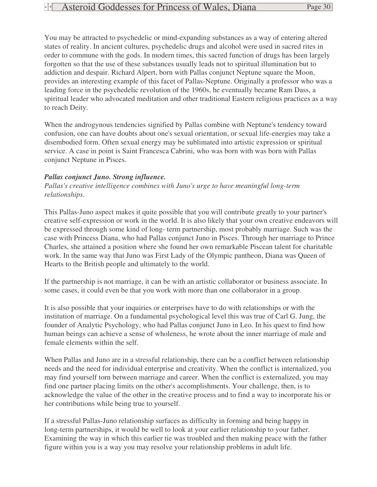You may be attracted to psychedelic or mind-expanding substances as a way of entering altered states of reality. In ancient cultures, psychedelic drugs and alcohol were used in sacred rites in order to commune with the gods. In modern times, this sacred function of drugs has been largely forgotten so that the use of these substances usually leads not to spiritual illumination but to addiction and despair. Richard Alpert, born with Pallas conjunct Neptune square the Moon, provides an interesting example of this facet of Pallas-Neptune. Originally a professor who was a leading force in the psychedelic revolution of the 1960s, he eventually became Ram Dass, a spiritual leader who advocated meditation and other traditional Eastern religious practices as a way to reach Deity.

When the androgynous tendencies signified by Pallas combine with Neptune's tendency toward confusion, one can have doubts about one's sexual orientation, or sexual life-energies may take a disembodied form. Often sexual energy may be sublimated into artistic expression or spiritual service. A case in point is Saint Francesca Cabrini, who was born with was born with Pallas conjunct Neptune in Pisces.

#### *Pallas conjunct Juno. Strong influence.*

*Pallas's creative intelligence combines with Juno's urge to have meaningful long-term relationships.*

This Pallas-Juno aspect makes it quite possible that you will contribute greatly to your partner's creative self-expression or work in the world. It is also likely that your own creative endeavors will be expressed through some kind of long- term partnership, most probably marriage. Such was the case with Princess Diana, who had Pallas conjunct Juno in Pisces. Through her marriage to Prince Charles, she attained a position where she found her own remarkable Piscean talent for charitable work. In the same way that Juno was First Lady of the Olympic pantheon, Diana was Queen of Hearts to the British people and ultimately to the world.

If the partnership is not marriage, it can be with an artistic collaborator or business associate. In some cases, it could even be that you work with more than one collaborator in a group.

It is also possible that your inquiries or enterprises have to do with relationships or with the institution of marriage. On a fundamental psychological level this was true of Carl G. Jung, the founder of Analytic Psychology, who had Pallas conjunct Juno in Leo. In his quest to find how human beings can achieve a sense of wholeness, he wrote about the inner marriage of male and female elements within the self.

When Pallas and Juno are in a stressful relationship, there can be a conflict between relationship needs and the need for individual enterprise and creativity. When the conflict is internalized, you may find yourself torn between marriage and career. When the conflict is externalized, you may find one partner placing limits on the other's accomplishments. Your challenge, then, is to acknowledge the value of the other in the creative process and to find a way to incorporate his or her contributions while being true to yourself.

If a stressful Pallas-Juno relationship surfaces as difficulty in forming and being happy in long-term partnerships, it would be well to look at your earlier relationship to your father. Examining the way in which this earlier tie was troubled and then making peace with the father figure within you is a way you may resolve your relationship problems in adult life.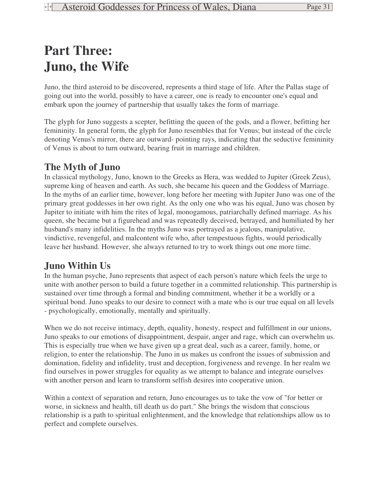# **Part Three: Juno, the Wife**

Juno, the third asteroid to be discovered, represents a third stage of life. After the Pallas stage of going out into the world, possibly to have a career, one is ready to encounter one's equal and embark upon the journey of partnership that usually takes the form of marriage.

The glyph for Juno suggests a scepter, befitting the queen of the gods, and a flower, befitting her femininity. In general form, the glyph for Juno resembles that for Venus; but instead of the circle denoting Venus's mirror, there are outward- pointing rays, indicating that the seductive femininity of Venus is about to turn outward, bearing fruit in marriage and children.

## **The Myth of Juno**

In classical mythology, Juno, known to the Greeks as Hera, was wedded to Jupiter (Greek Zeus), supreme king of heaven and earth. As such, she became his queen and the Goddess of Marriage. In the myths of an earlier time, however, long before her meeting with Jupiter Juno was one of the primary great goddesses in her own right. As the only one who was his equal, Juno was chosen by Jupiter to initiate with him the rites of legal, monogamous, patriarchally defined marriage. As his queen, she became but a figurehead and was repeatedly deceived, betrayed, and humiliated by her husband's many infidelities. In the myths Juno was portrayed as a jealous, manipulative, vindictive, revengeful, and malcontent wife who, after tempestuous fights, would periodically leave her husband. However, she always returned to try to work things out one more time.

# **Juno Within Us**

In the human psyche, Juno represents that aspect of each person's nature which feels the urge to unite with another person to build a future together in a committed relationship. This partnership is sustained over time through a formal and binding commitment, whether it be a worldly or a spiritual bond. Juno speaks to our desire to connect with a mate who is our true equal on all levels - psychologically, emotionally, mentally and spiritually.

When we do not receive intimacy, depth, equality, honesty, respect and fulfillment in our unions, Juno speaks to our emotions of disappointment, despair, anger and rage, which can overwhelm us. This is especially true when we have given up a great deal, such as a career, family, home, or religion, to enter the relationship. The Juno in us makes us confront the issues of submission and domination, fidelity and infidelity, trust and deception, forgiveness and revenge. In her realm we find ourselves in power struggles for equality as we attempt to balance and integrate ourselves with another person and learn to transform selfish desires into cooperative union.

Within a context of separation and return, Juno encourages us to take the vow of "for better or worse, in sickness and health, till death us do part." She brings the wisdom that conscious relationship is a path to spiritual enlightenment, and the knowledge that relationships allow us to perfect and complete ourselves.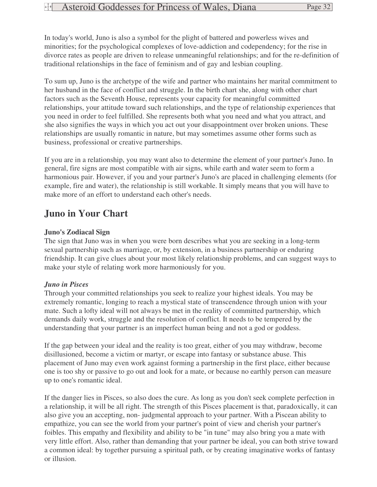In today's world, Juno is also a symbol for the plight of battered and powerless wives and minorities; for the psychological complexes of love-addiction and codependency; for the rise in divorce rates as people are driven to release unmeaningful relationships; and for the re-definition of traditional relationships in the face of feminism and of gay and lesbian coupling.

To sum up, Juno is the archetype of the wife and partner who maintains her marital commitment to her husband in the face of conflict and struggle. In the birth chart she, along with other chart factors such as the Seventh House, represents your capacity for meaningful committed relationships, your attitude toward such relationships, and the type of relationship experiences that you need in order to feel fulfilled. She represents both what you need and what you attract, and she also signifies the ways in which you act out your disappointment over broken unions. These relationships are usually romantic in nature, but may sometimes assume other forms such as business, professional or creative partnerships.

If you are in a relationship, you may want also to determine the element of your partner's Juno. In general, fire signs are most compatible with air signs, while earth and water seem to form a harmonious pair. However, if you and your partner's Juno's are placed in challenging elements (for example, fire and water), the relationship is still workable. It simply means that you will have to make more of an effort to understand each other's needs.

## **Juno in Your Chart**

### **Juno's Zodiacal Sign**

The sign that Juno was in when you were born describes what you are seeking in a long-term sexual partnership such as marriage, or, by extension, in a business partnership or enduring friendship. It can give clues about your most likely relationship problems, and can suggest ways to make your style of relating work more harmoniously for you.

#### *Juno in Pisces*

Through your committed relationships you seek to realize your highest ideals. You may be extremely romantic, longing to reach a mystical state of transcendence through union with your mate. Such a lofty ideal will not always be met in the reality of committed partnership, which demands daily work, struggle and the resolution of conflict. It needs to be tempered by the understanding that your partner is an imperfect human being and not a god or goddess.

If the gap between your ideal and the reality is too great, either of you may withdraw, become disillusioned, become a victim or martyr, or escape into fantasy or substance abuse. This placement of Juno may even work against forming a partnership in the first place, either because one is too shy or passive to go out and look for a mate, or because no earthly person can measure up to one's romantic ideal.

If the danger lies in Pisces, so also does the cure. As long as you don't seek complete perfection in a relationship, it will be all right. The strength of this Pisces placement is that, paradoxically, it can also give you an accepting, non- judgmental approach to your partner. With a Piscean ability to empathize, you can see the world from your partner's point of view and cherish your partner's foibles. This empathy and flexibility and ability to be "in tune" may also bring you a mate with very little effort. Also, rather than demanding that your partner be ideal, you can both strive toward a common ideal: by together pursuing a spiritual path, or by creating imaginative works of fantasy or illusion.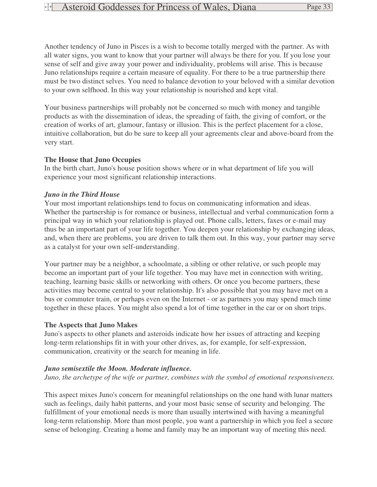Another tendency of Juno in Pisces is a wish to become totally merged with the partner. As with all water signs, you want to know that your partner will always be there for you. If you lose your sense of self and give away your power and individuality, problems will arise. This is because Juno relationships require a certain measure of equality. For there to be a true partnership there must be two distinct selves. You need to balance devotion to your beloved with a similar devotion to your own selfhood. In this way your relationship is nourished and kept vital.

Your business partnerships will probably not be concerned so much with money and tangible products as with the dissemination of ideas, the spreading of faith, the giving of comfort, or the creation of works of art, glamour, fantasy or illusion. This is the perfect placement for a close, intuitive collaboration, but do be sure to keep all your agreements clear and above-board from the very start.

#### **The House that Juno Occupies**

In the birth chart, Juno's house position shows where or in what department of life you will experience your most significant relationship interactions.

#### *Juno in the Third House*

Your most important relationships tend to focus on communicating information and ideas. Whether the partnership is for romance or business, intellectual and verbal communication form a principal way in which your relationship is played out. Phone calls, letters, faxes or e-mail may thus be an important part of your life together. You deepen your relationship by exchanging ideas, and, when there are problems, you are driven to talk them out. In this way, your partner may serve as a catalyst for your own self-understanding.

Your partner may be a neighbor, a schoolmate, a sibling or other relative, or such people may become an important part of your life together. You may have met in connection with writing, teaching, learning basic skills or networking with others. Or once you become partners, these activities may become central to your relationship. It's also possible that you may have met on a bus or commuter train, or perhaps even on the Internet - or as partners you may spend much time together in these places. You might also spend a lot of time together in the car or on short trips.

#### **The Aspects that Juno Makes**

Juno's aspects to other planets and asteroids indicate how her issues of attracting and keeping long-term relationships fit in with your other drives, as, for example, for self-expression, communication, creativity or the search for meaning in life.

#### *Juno semisextile the Moon. Moderate influence.*

*Juno, the archetype of the wife or partner, combines with the symbol of emotional responsiveness.*

This aspect mixes Juno's concern for meaningful relationships on the one hand with lunar matters such as feelings, daily habit patterns, and your most basic sense of security and belonging. The fulfillment of your emotional needs is more than usually intertwined with having a meaningful long-term relationship. More than most people, you want a partnership in which you feel a secure sense of belonging. Creating a home and family may be an important way of meeting this need.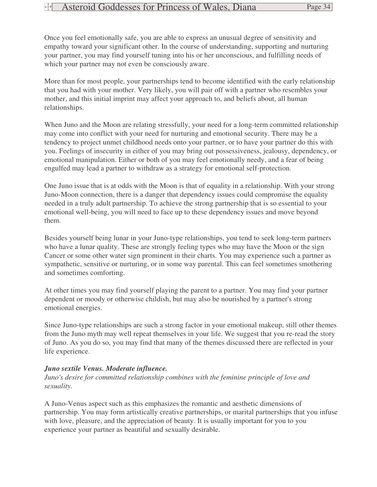Once you feel emotionally safe, you are able to express an unusual degree of sensitivity and empathy toward your significant other. In the course of understanding, supporting and nurturing your partner, you may find yourself tuning into his or her unconscious, and fulfilling needs of which your partner may not even be consciously aware.

More than for most people, your partnerships tend to become identified with the early relationship that you had with your mother. Very likely, you will pair off with a partner who resembles your mother, and this initial imprint may affect your approach to, and beliefs about, all human relationships.

When Juno and the Moon are relating stressfully, your need for a long-term committed relationship may come into conflict with your need for nurturing and emotional security. There may be a tendency to project unmet childhood needs onto your partner, or to have your partner do this with you. Feelings of insecurity in either of you may bring out possessiveness, jealousy, dependency, or emotional manipulation. Either or both of you may feel emotionally needy, and a fear of being engulfed may lead a partner to withdraw as a strategy for emotional self-protection.

One Juno issue that is at odds with the Moon is that of equality in a relationship. With your strong Juno-Moon connection, there is a danger that dependency issues could compromise the equality needed in a truly adult partnership. To achieve the strong partnership that is so essential to your emotional well-being, you will need to face up to these dependency issues and move beyond them.

Besides yourself being lunar in your Juno-type relationships, you tend to seek long-term partners who have a lunar quality. These are strongly feeling types who may have the Moon or the sign Cancer or some other water sign prominent in their charts. You may experience such a partner as sympathetic, sensitive or nurturing, or in some way parental. This can feel sometimes smothering and sometimes comforting.

At other times you may find yourself playing the parent to a partner. You may find your partner dependent or moody or otherwise childish, but may also be nourished by a partner's strong emotional energies.

Since Juno-type relationships are such a strong factor in your emotional makeup, still other themes from the Juno myth may well repeat themselves in your life. We suggest that you re-read the story of Juno. As you do so, you may find that many of the themes discussed there are reflected in your life experience.

#### *Juno sextile Venus. Moderate influence.*

*Juno's desire for committed relationship combines with the feminine principle of love and sexuality.*

A Juno-Venus aspect such as this emphasizes the romantic and aesthetic dimensions of partnership. You may form artistically creative partnerships, or marital partnerships that you infuse with love, pleasure, and the appreciation of beauty. It is usually important for you to you experience your partner as beautiful and sexually desirable.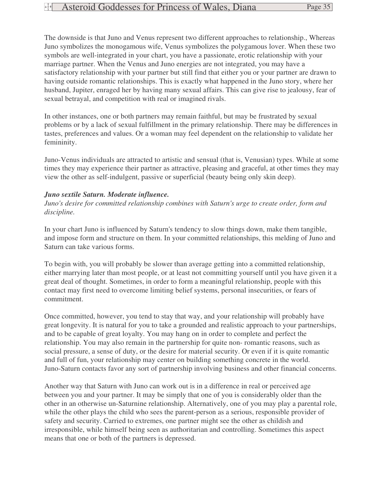The downside is that Juno and Venus represent two different approaches to relationship., Whereas Juno symbolizes the monogamous wife, Venus symbolizes the polygamous lover. When these two symbols are well-integrated in your chart, you have a passionate, erotic relationship with your marriage partner. When the Venus and Juno energies are not integrated, you may have a satisfactory relationship with your partner but still find that either you or your partner are drawn to having outside romantic relationships. This is exactly what happened in the Juno story, where her husband, Jupiter, enraged her by having many sexual affairs. This can give rise to jealousy, fear of sexual betrayal, and competition with real or imagined rivals.

In other instances, one or both partners may remain faithful, but may be frustrated by sexual problems or by a lack of sexual fulfillment in the primary relationship. There may be differences in tastes, preferences and values. Or a woman may feel dependent on the relationship to validate her femininity.

Juno-Venus individuals are attracted to artistic and sensual (that is, Venusian) types. While at some times they may experience their partner as attractive, pleasing and graceful, at other times they may view the other as self-indulgent, passive or superficial (beauty being only skin deep).

#### *Juno sextile Saturn. Moderate influence.*

*Juno's desire for committed relationship combines with Saturn's urge to create order, form and discipline.*

In your chart Juno is influenced by Saturn's tendency to slow things down, make them tangible, and impose form and structure on them. In your committed relationships, this melding of Juno and Saturn can take various forms.

To begin with, you will probably be slower than average getting into a committed relationship, either marrying later than most people, or at least not committing yourself until you have given it a great deal of thought. Sometimes, in order to form a meaningful relationship, people with this contact may first need to overcome limiting belief systems, personal insecurities, or fears of commitment.

Once committed, however, you tend to stay that way, and your relationship will probably have great longevity. It is natural for you to take a grounded and realistic approach to your partnerships, and to be capable of great loyalty. You may hang on in order to complete and perfect the relationship. You may also remain in the partnership for quite non- romantic reasons, such as social pressure, a sense of duty, or the desire for material security. Or even if it is quite romantic and full of fun, your relationship may center on building something concrete in the world. Juno-Saturn contacts favor any sort of partnership involving business and other financial concerns.

Another way that Saturn with Juno can work out is in a difference in real or perceived age between you and your partner. It may be simply that one of you is considerably older than the other in an otherwise un-Saturnine relationship. Alternatively, one of you may play a parental role, while the other plays the child who sees the parent-person as a serious, responsible provider of safety and security. Carried to extremes, one partner might see the other as childish and irresponsible, while himself being seen as authoritarian and controlling. Sometimes this aspect means that one or both of the partners is depressed.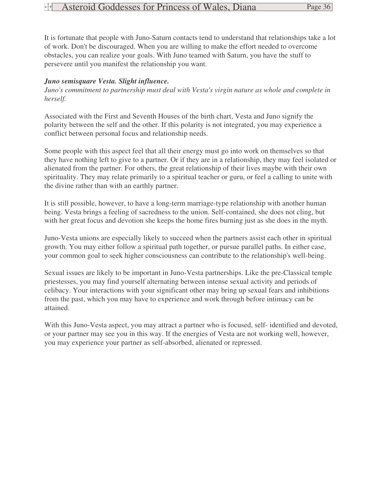It is fortunate that people with Juno-Saturn contacts tend to understand that relationships take a lot of work. Don't be discouraged. When you are willing to make the effort needed to overcome obstacles, you can realize your goals. With Juno teamed with Saturn, you have the stuff to persevere until you manifest the relationship you want.

#### *Juno semisquare Vesta. Slight influence.*

*Juno's commitment to partnership must deal with Vesta's virgin nature as whole and complete in herself.*

Associated with the First and Seventh Houses of the birth chart, Vesta and Juno signify the polarity between the self and the other. If this polarity is not integrated, you may experience a conflict between personal focus and relationship needs.

Some people with this aspect feel that all their energy must go into work on themselves so that they have nothing left to give to a partner. Or if they are in a relationship, they may feel isolated or alienated from the partner. For others, the great relationship of their lives maybe with their own spirituality. They may relate primarily to a spiritual teacher or guru, or feel a calling to unite with the divine rather than with an earthly partner.

It is still possible, however, to have a long-term marriage-type relationship with another human being. Vesta brings a feeling of sacredness to the union. Self-contained, she does not cling, but with her great focus and devotion she keeps the home fires burning just as she does in the myth.

Juno-Vesta unions are especially likely to succeed when the partners assist each other in spiritual growth. You may either follow a spiritual path together, or pursue parallel paths. In either case, your common goal to seek higher consciousness can contribute to the relationship's well-being.

Sexual issues are likely to be important in Juno-Vesta partnerships. Like the pre-Classical temple priestesses, you may find yourself alternating between intense sexual activity and periods of celibacy. Your interactions with your significant other may bring up sexual fears and inhibitions from the past, which you may have to experience and work through before intimacy can be attained.

With this Juno-Vesta aspect, you may attract a partner who is focused, self-identified and devoted, or your partner may see you in this way. If the energies of Vesta are not working well, however, you may experience your partner as self-absorbed, alienated or repressed.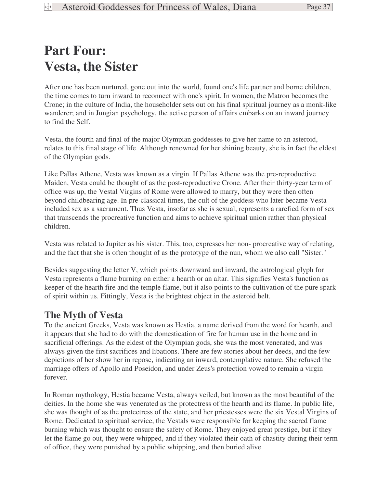# **Part Four: Vesta, the Sister**

After one has been nurtured, gone out into the world, found one's life partner and borne children, the time comes to turn inward to reconnect with one's spirit. In women, the Matron becomes the Crone; in the culture of India, the householder sets out on his final spiritual journey as a monk-like wanderer; and in Jungian psychology, the active person of affairs embarks on an inward journey to find the Self.

Vesta, the fourth and final of the major Olympian goddesses to give her name to an asteroid, relates to this final stage of life. Although renowned for her shining beauty, she is in fact the eldest of the Olympian gods.

Like Pallas Athene, Vesta was known as a virgin. If Pallas Athene was the pre-reproductive Maiden, Vesta could be thought of as the post-reproductive Crone. After their thirty-year term of office was up, the Vestal Virgins of Rome were allowed to marry, but they were then often beyond childbearing age. In pre-classical times, the cult of the goddess who later became Vesta included sex as a sacrament. Thus Vesta, insofar as she is sexual, represents a rarefied form of sex that transcends the procreative function and aims to achieve spiritual union rather than physical children.

Vesta was related to Jupiter as his sister. This, too, expresses her non- procreative way of relating, and the fact that she is often thought of as the prototype of the nun, whom we also call "Sister."

Besides suggesting the letter V, which points downward and inward, the astrological glyph for Vesta represents a flame burning on either a hearth or an altar. This signifies Vesta's function as keeper of the hearth fire and the temple flame, but it also points to the cultivation of the pure spark of spirit within us. Fittingly, Vesta is the brightest object in the asteroid belt.

## **The Myth of Vesta**

To the ancient Greeks, Vesta was known as Hestia, a name derived from the word for hearth, and it appears that she had to do with the domestication of fire for human use in the home and in sacrificial offerings. As the eldest of the Olympian gods, she was the most venerated, and was always given the first sacrifices and libations. There are few stories about her deeds, and the few depictions of her show her in repose, indicating an inward, contemplative nature. She refused the marriage offers of Apollo and Poseidon, and under Zeus's protection vowed to remain a virgin forever.

In Roman mythology, Hestia became Vesta, always veiled, but known as the most beautiful of the deities. In the home she was venerated as the protectress of the hearth and its flame. In public life, she was thought of as the protectress of the state, and her priestesses were the six Vestal Virgins of Rome. Dedicated to spiritual service, the Vestals were responsible for keeping the sacred flame burning which was thought to ensure the safety of Rome. They enjoyed great prestige, but if they let the flame go out, they were whipped, and if they violated their oath of chastity during their term of office, they were punished by a public whipping, and then buried alive.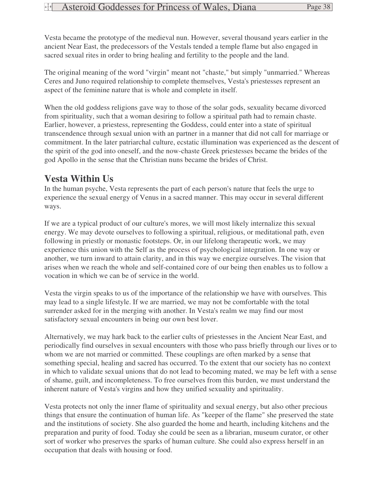Vesta became the prototype of the medieval nun. However, several thousand years earlier in the ancient Near East, the predecessors of the Vestals tended a temple flame but also engaged in sacred sexual rites in order to bring healing and fertility to the people and the land.

The original meaning of the word "virgin" meant not "chaste," but simply "unmarried." Whereas Ceres and Juno required relationship to complete themselves, Vesta's priestesses represent an aspect of the feminine nature that is whole and complete in itself.

When the old goddess religions gave way to those of the solar gods, sexuality became divorced from spirituality, such that a woman desiring to follow a spiritual path had to remain chaste. Earlier, however, a priestess, representing the Goddess, could enter into a state of spiritual transcendence through sexual union with an partner in a manner that did not call for marriage or commitment. In the later patriarchal culture, ecstatic illumination was experienced as the descent of the spirit of the god into oneself, and the now-chaste Greek priestesses became the brides of the god Apollo in the sense that the Christian nuns became the brides of Christ.

## **Vesta Within Us**

In the human psyche, Vesta represents the part of each person's nature that feels the urge to experience the sexual energy of Venus in a sacred manner. This may occur in several different ways.

If we are a typical product of our culture's mores, we will most likely internalize this sexual energy. We may devote ourselves to following a spiritual, religious, or meditational path, even following in priestly or monastic footsteps. Or, in our lifelong therapeutic work, we may experience this union with the Self as the process of psychological integration. In one way or another, we turn inward to attain clarity, and in this way we energize ourselves. The vision that arises when we reach the whole and self-contained core of our being then enables us to follow a vocation in which we can be of service in the world.

Vesta the virgin speaks to us of the importance of the relationship we have with ourselves. This may lead to a single lifestyle. If we are married, we may not be comfortable with the total surrender asked for in the merging with another. In Vesta's realm we may find our most satisfactory sexual encounters in being our own best lover.

Alternatively, we may hark back to the earlier cults of priestesses in the Ancient Near East, and periodically find ourselves in sexual encounters with those who pass briefly through our lives or to whom we are not married or committed. These couplings are often marked by a sense that something special, healing and sacred has occurred. To the extent that our society has no context in which to validate sexual unions that do not lead to becoming mated, we may be left with a sense of shame, guilt, and incompleteness. To free ourselves from this burden, we must understand the inherent nature of Vesta's virgins and how they unified sexuality and spirituality.

Vesta protects not only the inner flame of spirituality and sexual energy, but also other precious things that ensure the continuation of human life. As "keeper of the flame" she preserved the state and the institutions of society. She also guarded the home and hearth, including kitchens and the preparation and purity of food. Today she could be seen as a librarian, museum curator, or other sort of worker who preserves the sparks of human culture. She could also express herself in an occupation that deals with housing or food.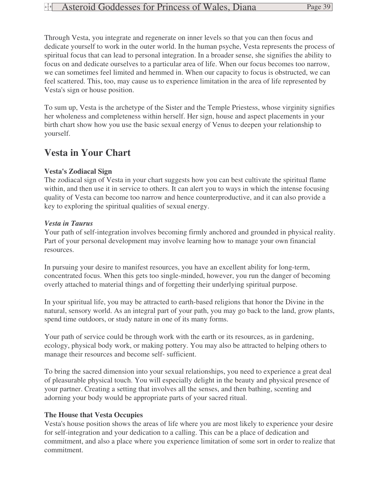### $\frac{1}{2}$  Asteroid Goddesses for Princess of Wales, Diana Page 39

Through Vesta, you integrate and regenerate on inner levels so that you can then focus and dedicate yourself to work in the outer world. In the human psyche, Vesta represents the process of spiritual focus that can lead to personal integration. In a broader sense, she signifies the ability to focus on and dedicate ourselves to a particular area of life. When our focus becomes too narrow, we can sometimes feel limited and hemmed in. When our capacity to focus is obstructed, we can feel scattered. This, too, may cause us to experience limitation in the area of life represented by Vesta's sign or house position.

To sum up, Vesta is the archetype of the Sister and the Temple Priestess, whose virginity signifies her wholeness and completeness within herself. Her sign, house and aspect placements in your birth chart show how you use the basic sexual energy of Venus to deepen your relationship to yourself.

## **Vesta in Your Chart**

#### **Vesta's Zodiacal Sign**

The zodiacal sign of Vesta in your chart suggests how you can best cultivate the spiritual flame within, and then use it in service to others. It can alert you to ways in which the intense focusing quality of Vesta can become too narrow and hence counterproductive, and it can also provide a key to exploring the spiritual qualities of sexual energy.

#### *Vesta in Taurus*

Your path of self-integration involves becoming firmly anchored and grounded in physical reality. Part of your personal development may involve learning how to manage your own financial resources.

In pursuing your desire to manifest resources, you have an excellent ability for long-term, concentrated focus. When this gets too single-minded, however, you run the danger of becoming overly attached to material things and of forgetting their underlying spiritual purpose.

In your spiritual life, you may be attracted to earth-based religions that honor the Divine in the natural, sensory world. As an integral part of your path, you may go back to the land, grow plants, spend time outdoors, or study nature in one of its many forms.

Your path of service could be through work with the earth or its resources, as in gardening, ecology, physical body work, or making pottery. You may also be attracted to helping others to manage their resources and become self- sufficient.

To bring the sacred dimension into your sexual relationships, you need to experience a great deal of pleasurable physical touch. You will especially delight in the beauty and physical presence of your partner. Creating a setting that involves all the senses, and then bathing, scenting and adorning your body would be appropriate parts of your sacred ritual.

#### **The House that Vesta Occupies**

Vesta's house position shows the areas of life where you are most likely to experience your desire for self-integration and your dedication to a calling. This can be a place of dedication and commitment, and also a place where you experience limitation of some sort in order to realize that commitment.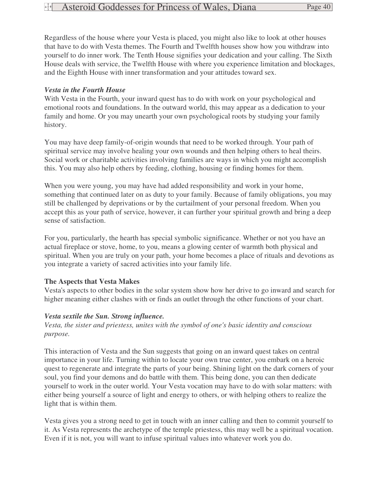Regardless of the house where your Vesta is placed, you might also like to look at other houses that have to do with Vesta themes. The Fourth and Twelfth houses show how you withdraw into yourself to do inner work. The Tenth House signifies your dedication and your calling. The Sixth House deals with service, the Twelfth House with where you experience limitation and blockages, and the Eighth House with inner transformation and your attitudes toward sex.

#### *Vesta in the Fourth House*

With Vesta in the Fourth, your inward quest has to do with work on your psychological and emotional roots and foundations. In the outward world, this may appear as a dedication to your family and home. Or you may unearth your own psychological roots by studying your family history.

You may have deep family-of-origin wounds that need to be worked through. Your path of spiritual service may involve healing your own wounds and then helping others to heal theirs. Social work or charitable activities involving families are ways in which you might accomplish this. You may also help others by feeding, clothing, housing or finding homes for them.

When you were young, you may have had added responsibility and work in your home, something that continued later on as duty to your family. Because of family obligations, you may still be challenged by deprivations or by the curtailment of your personal freedom. When you accept this as your path of service, however, it can further your spiritual growth and bring a deep sense of satisfaction.

For you, particularly, the hearth has special symbolic significance. Whether or not you have an actual fireplace or stove, home, to you, means a glowing center of warmth both physical and spiritual. When you are truly on your path, your home becomes a place of rituals and devotions as you integrate a variety of sacred activities into your family life.

#### **The Aspects that Vesta Makes**

Vesta's aspects to other bodies in the solar system show how her drive to go inward and search for higher meaning either clashes with or finds an outlet through the other functions of your chart.

#### *Vesta sextile the Sun. Strong influence.*

*Vesta, the sister and priestess, unites with the symbol of one's basic identity and conscious purpose.*

This interaction of Vesta and the Sun suggests that going on an inward quest takes on central importance in your life. Turning within to locate your own true center, you embark on a heroic quest to regenerate and integrate the parts of your being. Shining light on the dark corners of your soul, you find your demons and do battle with them. This being done, you can then dedicate yourself to work in the outer world. Your Vesta vocation may have to do with solar matters: with either being yourself a source of light and energy to others, or with helping others to realize the light that is within them.

Vesta gives you a strong need to get in touch with an inner calling and then to commit yourself to it. As Vesta represents the archetype of the temple priestess, this may well be a spiritual vocation. Even if it is not, you will want to infuse spiritual values into whatever work you do.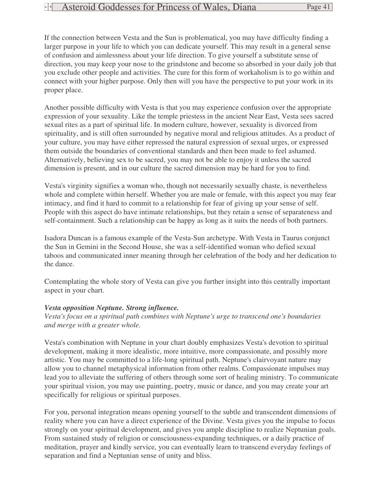If the connection between Vesta and the Sun is problematical, you may have difficulty finding a larger purpose in your life to which you can dedicate yourself. This may result in a general sense of confusion and aimlessness about your life direction. To give yourself a substitute sense of direction, you may keep your nose to the grindstone and become so absorbed in your daily job that you exclude other people and activities. The cure for this form of workaholism is to go within and connect with your higher purpose. Only then will you have the perspective to put your work in its proper place.

Another possible difficulty with Vesta is that you may experience confusion over the appropriate expression of your sexuality. Like the temple priestess in the ancient Near East, Vesta sees sacred sexual rites as a part of spiritual life. In modern culture, however, sexuality is divorced from spirituality, and is still often surrounded by negative moral and religious attitudes. As a product of your culture, you may have either repressed the natural expression of sexual urges, or expressed them outside the boundaries of conventional standards and then been made to feel ashamed. Alternatively, believing sex to be sacred, you may not be able to enjoy it unless the sacred dimension is present, and in our culture the sacred dimension may be hard for you to find.

Vesta's virginity signifies a woman who, though not necessarily sexually chaste, is nevertheless whole and complete within herself. Whether you are male or female, with this aspect you may fear intimacy, and find it hard to commit to a relationship for fear of giving up your sense of self. People with this aspect do have intimate relationships, but they retain a sense of separateness and self-containment. Such a relationship can be happy as long as it suits the needs of both partners.

Isadora Duncan is a famous example of the Vesta-Sun archetype. With Vesta in Taurus conjunct the Sun in Gemini in the Second House, she was a self-identified woman who defied sexual taboos and communicated inner meaning through her celebration of the body and her dedication to the dance.

Contemplating the whole story of Vesta can give you further insight into this centrally important aspect in your chart.

#### *Vesta opposition Neptune. Strong influence.*

*Vesta's focus on a spiritual path combines with Neptune's urge to transcend one's boundaries and merge with a greater whole.*

Vesta's combination with Neptune in your chart doubly emphasizes Vesta's devotion to spiritual development, making it more idealistic, more intuitive, more compassionate, and possibly more artistic. You may be committed to a life-long spiritual path. Neptune's clairvoyant nature may allow you to channel metaphysical information from other realms. Compassionate impulses may lead you to alleviate the suffering of others through some sort of healing ministry. To communicate your spiritual vision, you may use painting, poetry, music or dance, and you may create your art specifically for religious or spiritual purposes.

For you, personal integration means opening yourself to the subtle and transcendent dimensions of reality where you can have a direct experience of the Divine. Vesta gives you the impulse to focus strongly on your spiritual development, and gives you ample discipline to realize Neptunian goals. From sustained study of religion or consciousness-expanding techniques, or a daily practice of meditation, prayer and kindly service, you can eventually learn to transcend everyday feelings of separation and find a Neptunian sense of unity and bliss.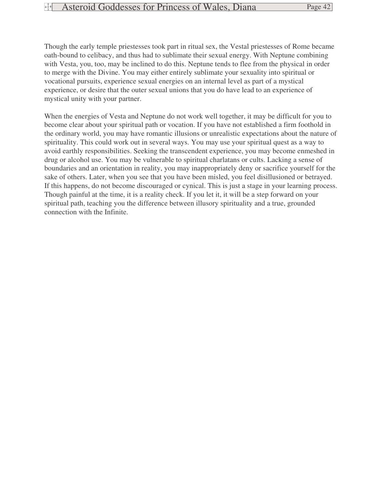Though the early temple priestesses took part in ritual sex, the Vestal priestesses of Rome became oath-bound to celibacy, and thus had to sublimate their sexual energy. With Neptune combining with Vesta, you, too, may be inclined to do this. Neptune tends to flee from the physical in order to merge with the Divine. You may either entirely sublimate your sexuality into spiritual or vocational pursuits, experience sexual energies on an internal level as part of a mystical experience, or desire that the outer sexual unions that you do have lead to an experience of mystical unity with your partner.

When the energies of Vesta and Neptune do not work well together, it may be difficult for you to become clear about your spiritual path or vocation. If you have not established a firm foothold in the ordinary world, you may have romantic illusions or unrealistic expectations about the nature of spirituality. This could work out in several ways. You may use your spiritual quest as a way to avoid earthly responsibilities. Seeking the transcendent experience, you may become enmeshed in drug or alcohol use. You may be vulnerable to spiritual charlatans or cults. Lacking a sense of boundaries and an orientation in reality, you may inappropriately deny or sacrifice yourself for the sake of others. Later, when you see that you have been misled, you feel disillusioned or betrayed. If this happens, do not become discouraged or cynical. This is just a stage in your learning process. Though painful at the time, it is a reality check. If you let it, it will be a step forward on your spiritual path, teaching you the difference between illusory spirituality and a true, grounded connection with the Infinite.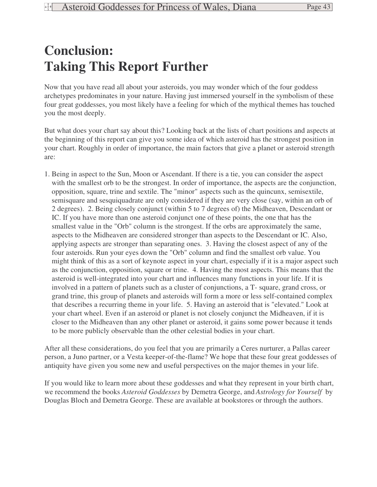# **Conclusion: Taking This Report Further**

Now that you have read all about your asteroids, you may wonder which of the four goddess archetypes predominates in your nature. Having just immersed yourself in the symbolism of these four great goddesses, you most likely have a feeling for which of the mythical themes has touched you the most deeply.

But what does your chart say about this? Looking back at the lists of chart positions and aspects at the beginning of this report can give you some idea of which asteroid has the strongest position in your chart. Roughly in order of importance, the main factors that give a planet or asteroid strength are:

1. Being in aspect to the Sun, Moon or Ascendant. If there is a tie, you can consider the aspect with the smallest orb to be the strongest. In order of importance, the aspects are the conjunction, opposition, square, trine and sextile. The "minor" aspects such as the quincunx, semisextile, semisquare and sesquiquadrate are only considered if they are very close (say, within an orb of 2 degrees). 2. Being closely conjunct (within 5 to 7 degrees of) the Midheaven, Descendant or IC. If you have more than one asteroid conjunct one of these points, the one that has the smallest value in the "Orb" column is the strongest. If the orbs are approximately the same, aspects to the Midheaven are considered stronger than aspects to the Descendant or IC. Also, applying aspects are stronger than separating ones. 3. Having the closest aspect of any of the four asteroids. Run your eyes down the "Orb" column and find the smallest orb value. You might think of this as a sort of keynote aspect in your chart, especially if it is a major aspect such as the conjunction, opposition, square or trine. 4. Having the most aspects. This means that the asteroid is well-integrated into your chart and influences many functions in your life. If it is involved in a pattern of planets such as a cluster of conjunctions, a T- square, grand cross, or grand trine, this group of planets and asteroids will form a more or less self-contained complex that describes a recurring theme in your life. 5. Having an asteroid that is "elevated." Look at your chart wheel. Even if an asteroid or planet is not closely conjunct the Midheaven, if it is closer to the Midheaven than any other planet or asteroid, it gains some power because it tends to be more publicly observable than the other celestial bodies in your chart.

After all these considerations, do you feel that you are primarily a Ceres nurturer, a Pallas career person, a Juno partner, or a Vesta keeper-of-the-flame? We hope that these four great goddesses of antiquity have given you some new and useful perspectives on the major themes in your life.

If you would like to learn more about these goddesses and what they represent in your birth chart, we recommend the books *Asteroid Goddesses* by Demetra George, and *Astrology for Yourself* by Douglas Bloch and Demetra George. These are available at bookstores or through the authors.